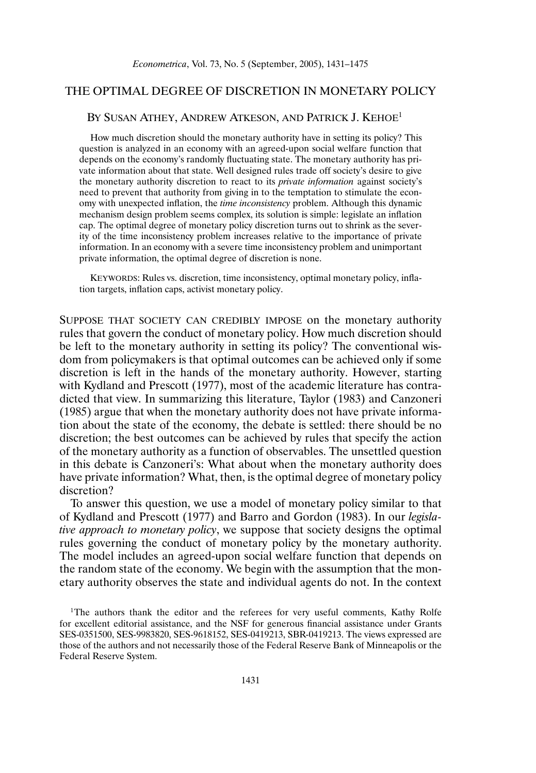# THE OPTIMAL DEGREE OF DISCRETION IN MONETARY POLICY

## BY SUSAN ATHEY, ANDREW ATKESON, AND PATRICK J. KEHOE<sup>1</sup>

How much discretion should the monetary authority have in setting its policy? This question is analyzed in an economy with an agreed-upon social welfare function that depends on the economy's randomly fluctuating state. The monetary authority has private information about that state. Well designed rules trade off society's desire to give the monetary authority discretion to react to its *private information* against society's need to prevent that authority from giving in to the temptation to stimulate the economy with unexpected inflation, the *time inconsistency* problem. Although this dynamic mechanism design problem seems complex, its solution is simple: legislate an inflation cap. The optimal degree of monetary policy discretion turns out to shrink as the severity of the time inconsistency problem increases relative to the importance of private information. In an economy with a severe time inconsistency problem and unimportant private information, the optimal degree of discretion is none.

KEYWORDS: Rules vs. discretion, time inconsistency, optimal monetary policy, inflation targets, inflation caps, activist monetary policy.

SUPPOSE THAT SOCIETY CAN CREDIBLY IMPOSE on the monetary authority rules that govern the conduct of monetary policy. How much discretion should be left to the monetary authority in setting its policy? The conventional wisdom from policymakers is that optimal outcomes can be achieved only if some discretion is left in the hands of the monetary authority. However, starting with Kydland and Prescott (1977), most of the academic literature has contradicted that view. In summarizing this literature, Taylor (1983) and Canzoneri (1985) argue that when the monetary authority does not have private information about the state of the economy, the debate is settled: there should be no discretion; the best outcomes can be achieved by rules that specify the action of the monetary authority as a function of observables. The unsettled question in this debate is Canzoneri's: What about when the monetary authority does have private information? What, then, is the optimal degree of monetary policy discretion?

To answer this question, we use a model of monetary policy similar to that of Kydland and Prescott (1977) and Barro and Gordon (1983). In our *legislative approach to monetary policy*, we suppose that society designs the optimal rules governing the conduct of monetary policy by the monetary authority. The model includes an agreed-upon social welfare function that depends on the random state of the economy. We begin with the assumption that the monetary authority observes the state and individual agents do not. In the context

<sup>1</sup>The authors thank the editor and the referees for very useful comments, Kathy Rolfe for excellent editorial assistance, and the NSF for generous financial assistance under Grants SES-0351500, SES-9983820, SES-9618152, SES-0419213, SBR-0419213. The views expressed are those of the authors and not necessarily those of the Federal Reserve Bank of Minneapolis or the Federal Reserve System.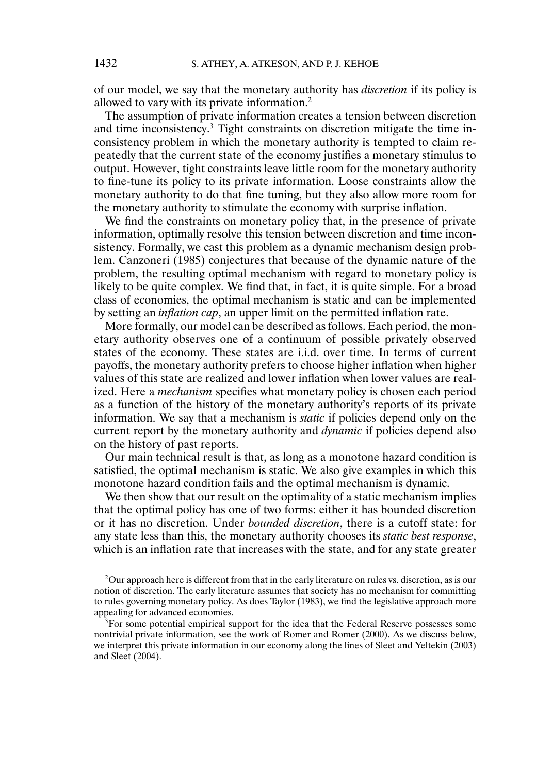of our model, we say that the monetary authority has *discretion* if its policy is allowed to vary with its private information.2

The assumption of private information creates a tension between discretion and time inconsistency.3 Tight constraints on discretion mitigate the time inconsistency problem in which the monetary authority is tempted to claim repeatedly that the current state of the economy justifies a monetary stimulus to output. However, tight constraints leave little room for the monetary authority to fine-tune its policy to its private information. Loose constraints allow the monetary authority to do that fine tuning, but they also allow more room for the monetary authority to stimulate the economy with surprise inflation.

We find the constraints on monetary policy that, in the presence of private information, optimally resolve this tension between discretion and time inconsistency. Formally, we cast this problem as a dynamic mechanism design problem. Canzoneri (1985) conjectures that because of the dynamic nature of the problem, the resulting optimal mechanism with regard to monetary policy is likely to be quite complex. We find that, in fact, it is quite simple. For a broad class of economies, the optimal mechanism is static and can be implemented by setting an *inflation cap*, an upper limit on the permitted inflation rate.

More formally, our model can be described as follows. Each period, the monetary authority observes one of a continuum of possible privately observed states of the economy. These states are i.i.d. over time. In terms of current payoffs, the monetary authority prefers to choose higher inflation when higher values of this state are realized and lower inflation when lower values are realized. Here a *mechanism* specifies what monetary policy is chosen each period as a function of the history of the monetary authority's reports of its private information. We say that a mechanism is *static* if policies depend only on the current report by the monetary authority and *dynamic* if policies depend also on the history of past reports.

Our main technical result is that, as long as a monotone hazard condition is satisfied, the optimal mechanism is static. We also give examples in which this monotone hazard condition fails and the optimal mechanism is dynamic.

We then show that our result on the optimality of a static mechanism implies that the optimal policy has one of two forms: either it has bounded discretion or it has no discretion. Under *bounded discretion*, there is a cutoff state: for any state less than this, the monetary authority chooses its *static best response*, which is an inflation rate that increases with the state, and for any state greater

2Our approach here is different from that in the early literature on rules vs. discretion, as is our notion of discretion. The early literature assumes that society has no mechanism for committing to rules governing monetary policy. As does Taylor (1983), we find the legislative approach more appealing for advanced economies.

<sup>3</sup>For some potential empirical support for the idea that the Federal Reserve possesses some nontrivial private information, see the work of Romer and Romer (2000). As we discuss below, we interpret this private information in our economy along the lines of Sleet and Yeltekin (2003) and Sleet (2004).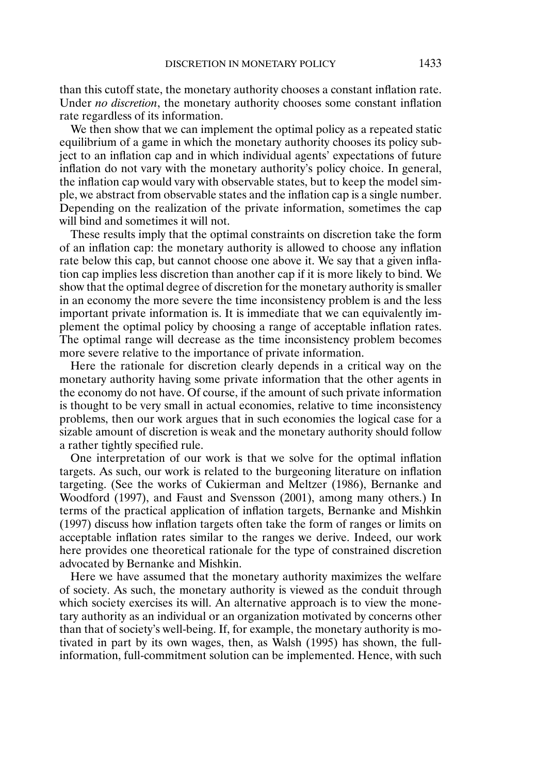than this cutoff state, the monetary authority chooses a constant inflation rate. Under *no discretion*, the monetary authority chooses some constant inflation rate regardless of its information.

We then show that we can implement the optimal policy as a repeated static equilibrium of a game in which the monetary authority chooses its policy subject to an inflation cap and in which individual agents' expectations of future inflation do not vary with the monetary authority's policy choice. In general, the inflation cap would vary with observable states, but to keep the model simple, we abstract from observable states and the inflation cap is a single number. Depending on the realization of the private information, sometimes the cap will bind and sometimes it will not.

These results imply that the optimal constraints on discretion take the form of an inflation cap: the monetary authority is allowed to choose any inflation rate below this cap, but cannot choose one above it. We say that a given inflation cap implies less discretion than another cap if it is more likely to bind. We show that the optimal degree of discretion for the monetary authority is smaller in an economy the more severe the time inconsistency problem is and the less important private information is. It is immediate that we can equivalently implement the optimal policy by choosing a range of acceptable inflation rates. The optimal range will decrease as the time inconsistency problem becomes more severe relative to the importance of private information.

Here the rationale for discretion clearly depends in a critical way on the monetary authority having some private information that the other agents in the economy do not have. Of course, if the amount of such private information is thought to be very small in actual economies, relative to time inconsistency problems, then our work argues that in such economies the logical case for a sizable amount of discretion is weak and the monetary authority should follow a rather tightly specified rule.

One interpretation of our work is that we solve for the optimal inflation targets. As such, our work is related to the burgeoning literature on inflation targeting. (See the works of Cukierman and Meltzer (1986), Bernanke and Woodford (1997), and Faust and Svensson (2001), among many others.) In terms of the practical application of inflation targets, Bernanke and Mishkin (1997) discuss how inflation targets often take the form of ranges or limits on acceptable inflation rates similar to the ranges we derive. Indeed, our work here provides one theoretical rationale for the type of constrained discretion advocated by Bernanke and Mishkin.

Here we have assumed that the monetary authority maximizes the welfare of society. As such, the monetary authority is viewed as the conduit through which society exercises its will. An alternative approach is to view the monetary authority as an individual or an organization motivated by concerns other than that of society's well-being. If, for example, the monetary authority is motivated in part by its own wages, then, as Walsh (1995) has shown, the fullinformation, full-commitment solution can be implemented. Hence, with such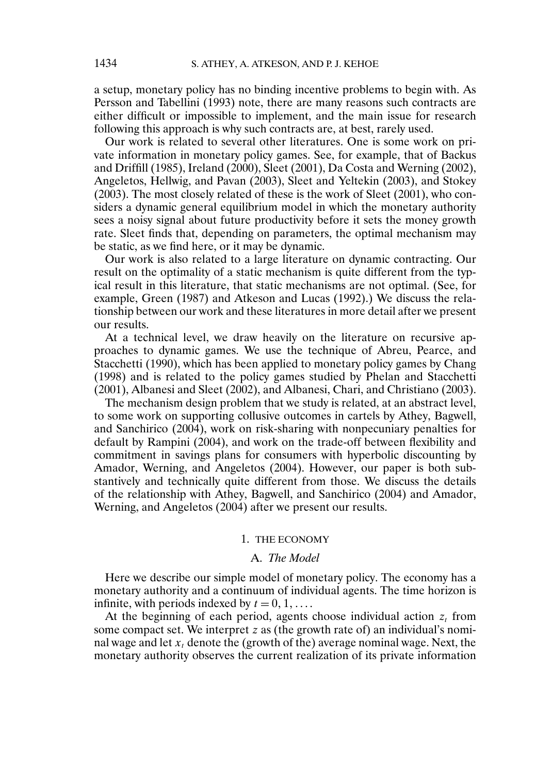a setup, monetary policy has no binding incentive problems to begin with. As Persson and Tabellini (1993) note, there are many reasons such contracts are either difficult or impossible to implement, and the main issue for research following this approach is why such contracts are, at best, rarely used.

Our work is related to several other literatures. One is some work on private information in monetary policy games. See, for example, that of Backus and Driffill (1985), Ireland (2000), Sleet (2001), Da Costa and Werning (2002), Angeletos, Hellwig, and Pavan (2003), Sleet and Yeltekin (2003), and Stokey (2003). The most closely related of these is the work of Sleet (2001), who considers a dynamic general equilibrium model in which the monetary authority sees a noisy signal about future productivity before it sets the money growth rate. Sleet finds that, depending on parameters, the optimal mechanism may be static, as we find here, or it may be dynamic.

Our work is also related to a large literature on dynamic contracting. Our result on the optimality of a static mechanism is quite different from the typical result in this literature, that static mechanisms are not optimal. (See, for example, Green (1987) and Atkeson and Lucas (1992).) We discuss the relationship between our work and these literatures in more detail after we present our results.

At a technical level, we draw heavily on the literature on recursive approaches to dynamic games. We use the technique of Abreu, Pearce, and Stacchetti (1990), which has been applied to monetary policy games by Chang (1998) and is related to the policy games studied by Phelan and Stacchetti (2001), Albanesi and Sleet (2002), and Albanesi, Chari, and Christiano (2003).

The mechanism design problem that we study is related, at an abstract level, to some work on supporting collusive outcomes in cartels by Athey, Bagwell, and Sanchirico (2004), work on risk-sharing with nonpecuniary penalties for default by Rampini (2004), and work on the trade-off between flexibility and commitment in savings plans for consumers with hyperbolic discounting by Amador, Werning, and Angeletos (2004). However, our paper is both substantively and technically quite different from those. We discuss the details of the relationship with Athey, Bagwell, and Sanchirico (2004) and Amador, Werning, and Angeletos (2004) after we present our results.

#### 1. THE ECONOMY

### A. *The Model*

Here we describe our simple model of monetary policy. The economy has a monetary authority and a continuum of individual agents. The time horizon is infinite, with periods indexed by  $t = 0, 1, \ldots$ .

At the beginning of each period, agents choose individual action  $z_t$  from some compact set. We interpret  $z$  as (the growth rate of) an individual's nominal wage and let  $x_t$  denote the (growth of the) average nominal wage. Next, the monetary authority observes the current realization of its private information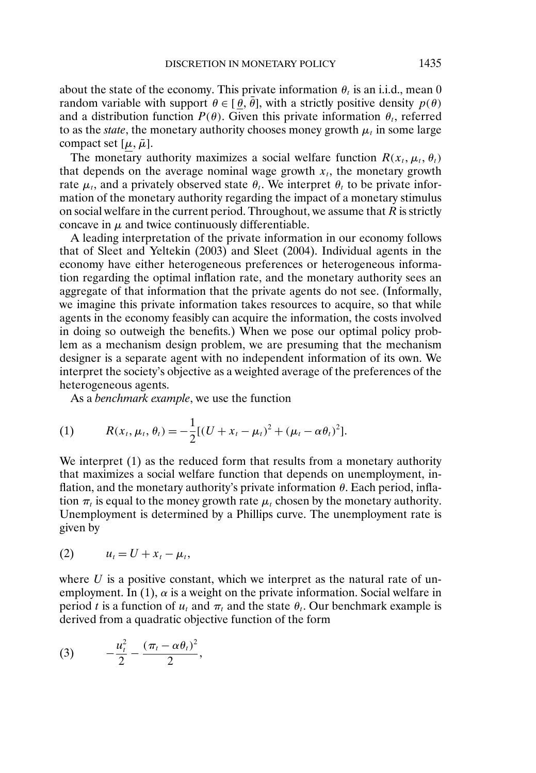about the state of the economy. This private information  $\theta_t$  is an i.i.d., mean 0 random variable with support  $\theta \in [\theta, \bar{\theta}]$ , with a strictly positive density  $p(\theta)$ and a distribution function  $P(\theta)$ . Given this private information  $\theta_t$ , referred to as the *state*, the monetary authority chooses money growth  $\mu_t$  in some large compact set  $[\mu, \bar{\mu}]$ .

The monetary authority maximizes a social welfare function  $R(x_t, \mu_t, \theta_t)$ that depends on the average nominal wage growth  $x_t$ , the monetary growth rate  $\mu_t$ , and a privately observed state  $\theta_t$ . We interpret  $\theta_t$  to be private information of the monetary authority regarding the impact of a monetary stimulus on social welfare in the current period. Throughout, we assume that  $R$  is strictly concave in  $\mu$  and twice continuously differentiable.

A leading interpretation of the private information in our economy follows that of Sleet and Yeltekin (2003) and Sleet (2004). Individual agents in the economy have either heterogeneous preferences or heterogeneous information regarding the optimal inflation rate, and the monetary authority sees an aggregate of that information that the private agents do not see. (Informally, we imagine this private information takes resources to acquire, so that while agents in the economy feasibly can acquire the information, the costs involved in doing so outweigh the benefits.) When we pose our optimal policy problem as a mechanism design problem, we are presuming that the mechanism designer is a separate agent with no independent information of its own. We interpret the society's objective as a weighted average of the preferences of the heterogeneous agents.

As a *benchmark example*, we use the function

(1) 
$$
R(x_t, \mu_t, \theta_t) = -\frac{1}{2}[(U + x_t - \mu_t)^2 + (\mu_t - \alpha \theta_t)^2].
$$

We interpret (1) as the reduced form that results from a monetary authority that maximizes a social welfare function that depends on unemployment, inflation, and the monetary authority's private information  $\theta$ . Each period, inflation  $\pi_t$  is equal to the money growth rate  $\mu_t$  chosen by the monetary authority. Unemployment is determined by a Phillips curve. The unemployment rate is given by

$$
(2) \qquad u_t = U + x_t - \mu_t,
$$

where  $U$  is a positive constant, which we interpret as the natural rate of unemployment. In (1),  $\alpha$  is a weight on the private information. Social welfare in period t is a function of  $u_t$  and  $\pi_t$  and the state  $\theta_t$ . Our benchmark example is derived from a quadratic objective function of the form

$$
(3) \qquad -\frac{u_t^2}{2} - \frac{(\pi_t - \alpha \theta_t)^2}{2},
$$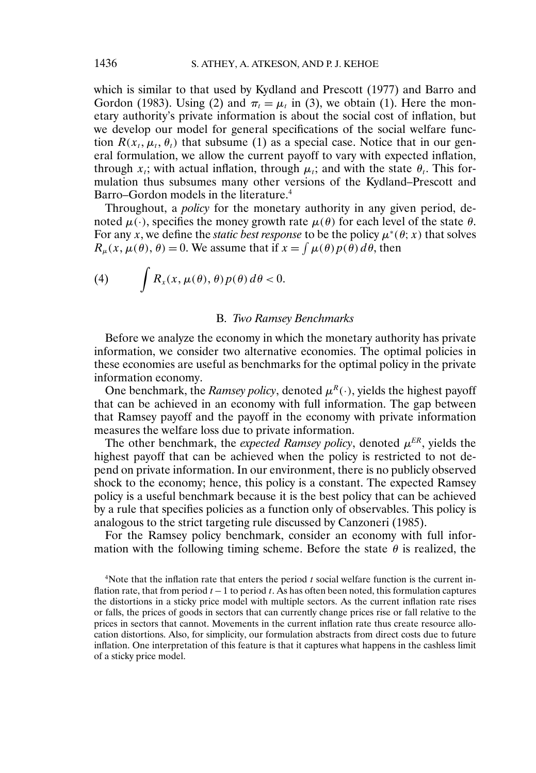which is similar to that used by Kydland and Prescott (1977) and Barro and Gordon (1983). Using (2) and  $\pi_t = \mu_t$  in (3), we obtain (1). Here the monetary authority's private information is about the social cost of inflation, but we develop our model for general specifications of the social welfare function  $R(x_t, \mu_t, \theta_t)$  that subsume (1) as a special case. Notice that in our general formulation, we allow the current payoff to vary with expected inflation, through  $x_t$ ; with actual inflation, through  $\mu_t$ ; and with the state  $\theta_t$ . This formulation thus subsumes many other versions of the Kydland–Prescott and Barro–Gordon models in the literature.<sup>4</sup>

Throughout, a *policy* for the monetary authority in any given period, denoted  $\mu(\cdot)$ , specifies the money growth rate  $\mu(\theta)$  for each level of the state  $\theta$ . For any x, we define the *static best response* to be the policy  $\mu^*(\theta; x)$  that solves  $R_{\mu}(x, \mu(\theta), \theta) = 0$ . We assume that if  $x = \int \mu(\theta) p(\theta) d\theta$ , then

(4) 
$$
\int R_x(x,\mu(\theta),\theta)p(\theta)d\theta < 0.
$$

## B. *Two Ramsey Benchmarks*

Before we analyze the economy in which the monetary authority has private information, we consider two alternative economies. The optimal policies in these economies are useful as benchmarks for the optimal policy in the private information economy.

One benchmark, the *Ramsey policy*, denoted  $\mu^{R}(\cdot)$ , yields the highest payoff that can be achieved in an economy with full information. The gap between that Ramsey payoff and the payoff in the economy with private information measures the welfare loss due to private information.

The other benchmark, the *expected Ramsey policy*, denoted  $\mu^{ER}$ , yields the highest payoff that can be achieved when the policy is restricted to not depend on private information. In our environment, there is no publicly observed shock to the economy; hence, this policy is a constant. The expected Ramsey policy is a useful benchmark because it is the best policy that can be achieved by a rule that specifies policies as a function only of observables. This policy is analogous to the strict targeting rule discussed by Canzoneri (1985).

For the Ramsey policy benchmark, consider an economy with full information with the following timing scheme. Before the state  $\theta$  is realized, the

 $4$ Note that the inflation rate that enters the period t social welfare function is the current inflation rate, that from period  $t - 1$  to period t. As has often been noted, this formulation captures the distortions in a sticky price model with multiple sectors. As the current inflation rate rises or falls, the prices of goods in sectors that can currently change prices rise or fall relative to the prices in sectors that cannot. Movements in the current inflation rate thus create resource allocation distortions. Also, for simplicity, our formulation abstracts from direct costs due to future inflation. One interpretation of this feature is that it captures what happens in the cashless limit of a sticky price model.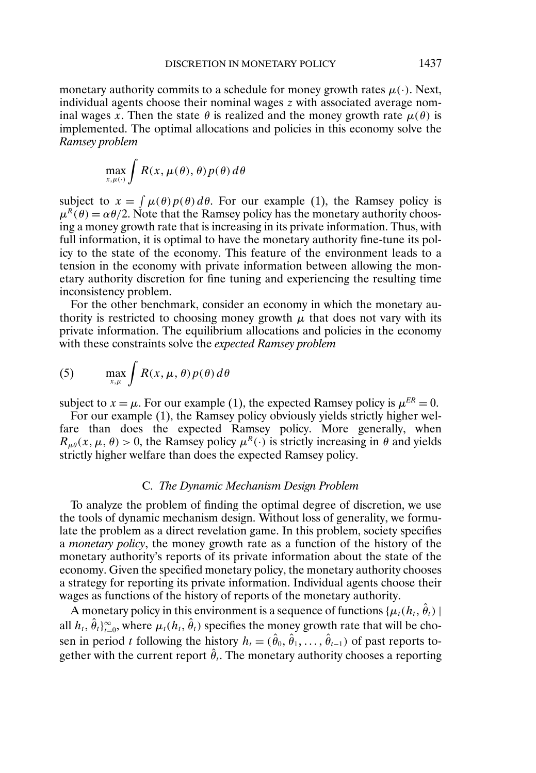monetary authority commits to a schedule for money growth rates  $\mu(\cdot)$ . Next, individual agents choose their nominal wages z with associated average nominal wages x. Then the state  $\theta$  is realized and the money growth rate  $\mu(\theta)$  is implemented. The optimal allocations and policies in this economy solve the *Ramsey problem*

$$
\max_{x,\mu(\cdot)} \int R(x,\mu(\theta),\theta)p(\theta)\,d\theta
$$

subject to  $x = \int \mu(\theta)p(\theta) d\theta$ . For our example (1), the Ramsey policy is  $\mu^R(\theta) = \alpha \theta/2$ . Note that the Ramsey policy has the monetary authority choosing a money growth rate that is increasing in its private information. Thus, with full information, it is optimal to have the monetary authority fine-tune its policy to the state of the economy. This feature of the environment leads to a tension in the economy with private information between allowing the monetary authority discretion for fine tuning and experiencing the resulting time inconsistency problem.

For the other benchmark, consider an economy in which the monetary authority is restricted to choosing money growth  $\mu$  that does not vary with its private information. The equilibrium allocations and policies in the economy with these constraints solve the *expected Ramsey problem*

(5) 
$$
\max_{x,\mu} \int R(x,\mu,\theta)p(\theta) d\theta
$$

subject to  $x = \mu$ . For our example (1), the expected Ramsey policy is  $\mu^{ER} = 0$ .

For our example (1), the Ramsey policy obviously yields strictly higher welfare than does the expected Ramsey policy. More generally, when  $R_{\mu\theta}(x, \mu, \theta) > 0$ , the Ramsey policy  $\mu^R(\cdot)$  is strictly increasing in  $\theta$  and yields strictly higher welfare than does the expected Ramsey policy.

## C. *The Dynamic Mechanism Design Problem*

To analyze the problem of finding the optimal degree of discretion, we use the tools of dynamic mechanism design. Without loss of generality, we formulate the problem as a direct revelation game. In this problem, society specifies a *monetary policy*, the money growth rate as a function of the history of the monetary authority's reports of its private information about the state of the economy. Given the specified monetary policy, the monetary authority chooses a strategy for reporting its private information. Individual agents choose their wages as functions of the history of reports of the monetary authority.

A monetary policy in this environment is a sequence of functions { $\mu_t(h_t, \hat{\theta}_t)$  | all  $h_t$ ,  $\hat{\theta}_t$ <sub> $t=0$ </sub>, where  $\mu_t(h_t, \hat{\theta}_t)$  specifies the money growth rate that will be chosen in period t following the history  $h_t = (\hat{\theta}_0, \hat{\theta}_1, \dots, \hat{\theta}_{t-1})$  of past reports together with the current report  $\hat{\theta}_t$ . The monetary authority chooses a reporting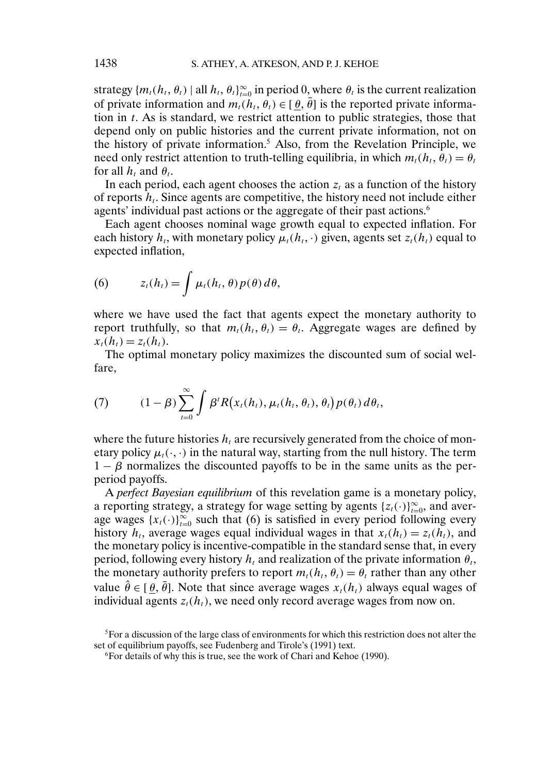strategy { $m_t(h_t, \theta_t)$  | all  $h_t, \theta_t$ } $_{t=0}^{\infty}$  in period 0, where  $\theta_t$  is the current realization of private information and  $m_t(h_t, \theta_t) \in [\theta, \theta]$  is the reported private information in  $t$ . As is standard, we restrict attention to public strategies, those that depend only on public histories and the current private information, not on the history of private information.5 Also, from the Revelation Principle, we need only restrict attention to truth-telling equilibria, in which  $m_t(h_t, \theta_t) = \theta_t$ for all  $h_t$  and  $\theta_t$ .

In each period, each agent chooses the action  $z_t$  as a function of the history of reports  $h_t$ . Since agents are competitive, the history need not include either agents' individual past actions or the aggregate of their past actions.<sup>6</sup>

Each agent chooses nominal wage growth equal to expected inflation. For each history  $h_t$ , with monetary policy  $\mu_t(h_t, \cdot)$  given, agents set  $z_t(h_t)$  equal to expected inflation,

(6) 
$$
z_t(h_t) = \int \mu_t(h_t, \theta) p(\theta) d\theta,
$$

where we have used the fact that agents expect the monetary authority to report truthfully, so that  $m_t(h_t, \theta_t) = \theta_t$ . Aggregate wages are defined by  $x_t(h_t) = z_t(h_t)$ .

The optimal monetary policy maximizes the discounted sum of social welfare,

(7) 
$$
(1-\beta)\sum_{t=0}^{\infty}\int \beta^t R(x_t(h_t), \mu_t(h_t, \theta_t), \theta_t)p(\theta_t) d\theta_t,
$$

where the future histories  $h_t$  are recursively generated from the choice of monetary policy  $\mu_t(\cdot, \cdot)$  in the natural way, starting from the null history. The term  $1 - \beta$  normalizes the discounted payoffs to be in the same units as the perperiod payoffs.

A *perfect Bayesian equilibrium* of this revelation game is a monetary policy, a reporting strategy, a strategy for wage setting by agents  $\{z_t(\cdot)\}_{t=0}^{\infty}$ , and average wages  $\{x_t(\cdot)\}_{t=0}^{\infty}$  such that (6) is satisfied in every period following every history  $h_t$ , average wages equal individual wages in that  $x_t(h_t) = z_t(h_t)$ , and the monetary policy is incentive-compatible in the standard sense that, in every period, following every history  $h_t$  and realization of the private information  $\theta_t$ , the monetary authority prefers to report  $m_t(h_t, \theta_t) = \theta_t$  rather than any other value  $\hat{\theta} \in [\theta, \bar{\theta}]$ . Note that since average wages  $x_t(h_t)$  always equal wages of individual agents  $z_t(h_t)$ , we need only record average wages from now on.

<sup>&</sup>lt;sup>5</sup>For a discussion of the large class of environments for which this restriction does not alter the set of equilibrium payoffs, see Fudenberg and Tirole's (1991) text.

<sup>6</sup>For details of why this is true, see the work of Chari and Kehoe (1990).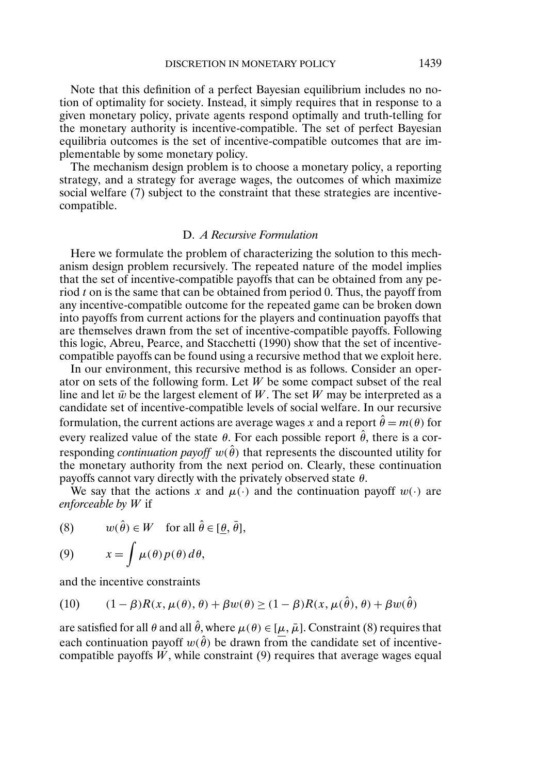Note that this definition of a perfect Bayesian equilibrium includes no notion of optimality for society. Instead, it simply requires that in response to a given monetary policy, private agents respond optimally and truth-telling for the monetary authority is incentive-compatible. The set of perfect Bayesian equilibria outcomes is the set of incentive-compatible outcomes that are implementable by some monetary policy.

The mechanism design problem is to choose a monetary policy, a reporting strategy, and a strategy for average wages, the outcomes of which maximize social welfare (7) subject to the constraint that these strategies are incentivecompatible.

#### D. *A Recursive Formulation*

Here we formulate the problem of characterizing the solution to this mechanism design problem recursively. The repeated nature of the model implies that the set of incentive-compatible payoffs that can be obtained from any period  $t$  on is the same that can be obtained from period 0. Thus, the payoff from any incentive-compatible outcome for the repeated game can be broken down into payoffs from current actions for the players and continuation payoffs that are themselves drawn from the set of incentive-compatible payoffs. Following this logic, Abreu, Pearce, and Stacchetti (1990) show that the set of incentivecompatible payoffs can be found using a recursive method that we exploit here.

In our environment, this recursive method is as follows. Consider an operator on sets of the following form. Let  $W$  be some compact subset of the real line and let  $\bar{w}$  be the largest element of W. The set W may be interpreted as a candidate set of incentive-compatible levels of social welfare. In our recursive formulation, the current actions are average wages x and a report  $\hat{\theta} = m(\theta)$  for every realized value of the state  $\theta$ . For each possible report  $\hat{\theta}$ , there is a corresponding *continuation payoff*  $w(\hat{\theta})$  that represents the discounted utility for the monetary authority from the next period on. Clearly, these continuation payoffs cannot vary directly with the privately observed state  $\theta$ .

We say that the actions x and  $\mu(\cdot)$  and the continuation payoff  $w(\cdot)$  are *enforceable by* W if

(8) 
$$
w(\hat{\theta}) \in W
$$
 for all  $\hat{\theta} \in [\underline{\theta}, \overline{\theta}],$ 

(9) 
$$
x = \int \mu(\theta) p(\theta) d\theta,
$$

and the incentive constraints

(10) 
$$
(1 - \beta)R(x, \mu(\theta), \theta) + \beta w(\theta) \ge (1 - \beta)R(x, \mu(\hat{\theta}), \theta) + \beta w(\hat{\theta})
$$

are satisfied for all  $\theta$  and all  $\hat{\theta}$ , where  $\mu(\theta) \in [\mu, \bar{\mu}]$ . Constraint (8) requires that each continuation payoff  $w(\hat{\theta})$  be drawn from the candidate set of incentivecompatible payoffs  $W$ , while constraint  $(9)$  requires that average wages equal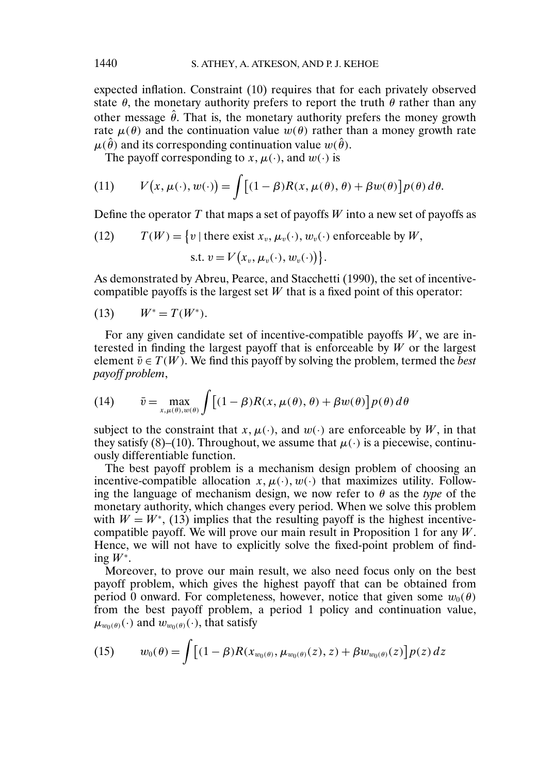expected inflation. Constraint (10) requires that for each privately observed state  $\theta$ , the monetary authority prefers to report the truth  $\theta$  rather than any other message  $\hat{\theta}$ . That is, the monetary authority prefers the money growth rate  $\mu(\theta)$  and the continuation value  $w(\theta)$  rather than a money growth rate  $\mu(\hat{\theta})$  and its corresponding continuation value  $w(\hat{\theta})$ .

The payoff corresponding to  $x, \mu(\cdot)$ , and  $w(\cdot)$  is

(11) 
$$
V(x, \mu(\cdot), w(\cdot)) = \int [(1-\beta)R(x, \mu(\theta), \theta) + \beta w(\theta)] p(\theta) d\theta.
$$

Define the operator  $T$  that maps a set of payoffs  $W$  into a new set of payoffs as

(12) 
$$
T(W) = \{v \mid \text{there exist } x_v, \mu_v(\cdot), w_v(\cdot) \text{ enforceable by } W, \\ \text{s.t. } v = V(x_v, \mu_v(\cdot), w_v(\cdot))\}.
$$

As demonstrated by Abreu, Pearce, and Stacchetti (1990), the set of incentivecompatible payoffs is the largest set  $W$  that is a fixed point of this operator:

$$
(13) \qquad W^* = T(W^*).
$$

For any given candidate set of incentive-compatible payoffs  $W$ , we are interested in finding the largest payoff that is enforceable by  $W$  or the largest element  $\bar{v} \in T(W)$ . We find this payoff by solving the problem, termed the *best payoff problem*,

(14) 
$$
\bar{v} = \max_{x, \mu(\theta), w(\theta)} \int \left[ (1 - \beta) R(x, \mu(\theta), \theta) + \beta w(\theta) \right] p(\theta) d\theta
$$

subject to the constraint that  $x, \mu(\cdot)$ , and  $w(\cdot)$  are enforceable by W, in that they satisfy (8)–(10). Throughout, we assume that  $\mu(\cdot)$  is a piecewise, continuously differentiable function.

The best payoff problem is a mechanism design problem of choosing an incentive-compatible allocation  $x, \mu(\cdot), w(\cdot)$  that maximizes utility. Following the language of mechanism design, we now refer to θ as the *type* of the monetary authority, which changes every period. When we solve this problem with  $W = W^*$ , (13) implies that the resulting payoff is the highest incentivecompatible payoff. We will prove our main result in Proposition 1 for any  $W$ . Hence, we will not have to explicitly solve the fixed-point problem of finding  $W^*$ .

Moreover, to prove our main result, we also need focus only on the best payoff problem, which gives the highest payoff that can be obtained from period 0 onward. For completeness, however, notice that given some  $w_0(\theta)$ from the best payoff problem, a period 1 policy and continuation value,  $\mu_{w_0(\theta)}(\cdot)$  and  $w_{w_0(\theta)}(\cdot)$ , that satisfy

(15) 
$$
w_0(\theta) = \int \big[ (1-\beta) R(x_{w_0(\theta)}, \mu_{w_0(\theta)}(z), z) + \beta w_{w_0(\theta)}(z) \big] p(z) dz
$$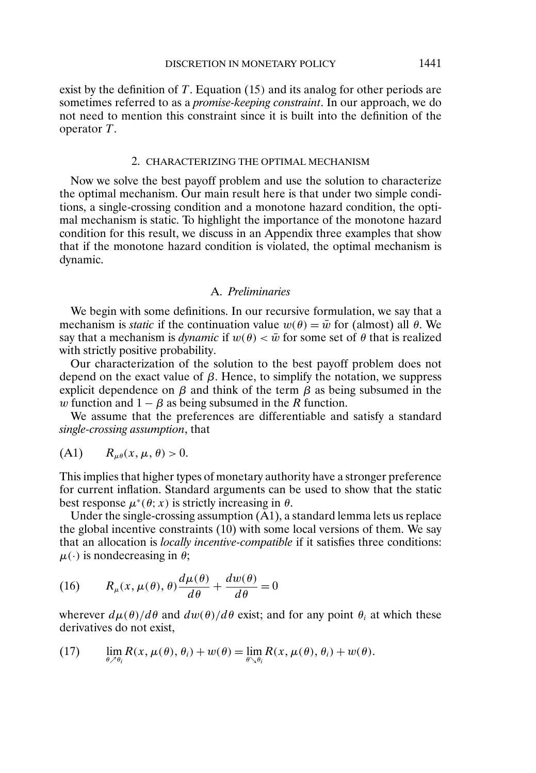exist by the definition of  $T$ . Equation (15) and its analog for other periods are sometimes referred to as a *promise-keeping constraint*. In our approach, we do not need to mention this constraint since it is built into the definition of the operator T.

### 2. CHARACTERIZING THE OPTIMAL MECHANISM

Now we solve the best payoff problem and use the solution to characterize the optimal mechanism. Our main result here is that under two simple conditions, a single-crossing condition and a monotone hazard condition, the optimal mechanism is static. To highlight the importance of the monotone hazard condition for this result, we discuss in an Appendix three examples that show that if the monotone hazard condition is violated, the optimal mechanism is dynamic.

## A. *Preliminaries*

We begin with some definitions. In our recursive formulation, we say that a mechanism is *static* if the continuation value  $w(\theta) = \bar{w}$  for (almost) all  $\theta$ . We say that a mechanism is *dynamic* if  $w(\theta) < \bar{w}$  for some set of  $\theta$  that is realized with strictly positive probability.

Our characterization of the solution to the best payoff problem does not depend on the exact value of  $\beta$ . Hence, to simplify the notation, we suppress explicit dependence on  $\beta$  and think of the term  $\beta$  as being subsumed in the w function and  $1 - \beta$  as being subsumed in the R function.

We assume that the preferences are differentiable and satisfy a standard *single-crossing assumption*, that

$$
(A1) \t R_{\mu\theta}(x,\mu,\theta) > 0.
$$

This implies that higher types of monetary authority have a stronger preference for current inflation. Standard arguments can be used to show that the static best response  $\mu^*(\theta; x)$  is strictly increasing in  $\theta$ .

Under the single-crossing assumption (A1), a standard lemma lets us replace the global incentive constraints (10) with some local versions of them. We say that an allocation is *locally incentive-compatible* if it satisfies three conditions:  $\mu(\cdot)$  is nondecreasing in  $\theta$ ;

(16) 
$$
R_{\mu}(x, \mu(\theta), \theta) \frac{d\mu(\theta)}{d\theta} + \frac{dw(\theta)}{d\theta} = 0
$$

wherever  $d\mu(\theta)/d\theta$  and  $dw(\theta)/d\theta$  exist; and for any point  $\theta_i$  at which these derivatives do not exist,

(17) 
$$
\lim_{\theta \nearrow \theta_i} R(x, \mu(\theta), \theta_i) + w(\theta) = \lim_{\theta \searrow \theta_i} R(x, \mu(\theta), \theta_i) + w(\theta).
$$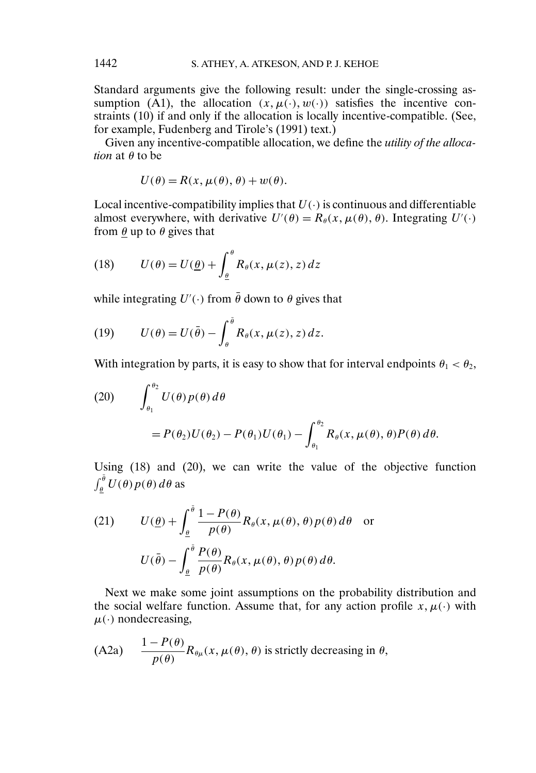Standard arguments give the following result: under the single-crossing assumption (A1), the allocation  $(x, \mu(\cdot), w(\cdot))$  satisfies the incentive constraints (10) if and only if the allocation is locally incentive-compatible. (See, for example, Fudenberg and Tirole's (1991) text.)

Given any incentive-compatible allocation, we define the *utility of the allocation* at  $\theta$  to be

$$
U(\theta) = R(x, \mu(\theta), \theta) + w(\theta).
$$

Local incentive-compatibility implies that  $U(\cdot)$  is continuous and differentiable almost everywhere, with derivative  $U'(\theta) = R_{\theta}(x, \mu(\theta), \theta)$ . Integrating  $U'(\cdot)$ from  $\theta$  up to  $\theta$  gives that

(18) 
$$
U(\theta) = U(\underline{\theta}) + \int_{\underline{\theta}}^{\theta} R_{\theta}(x, \mu(z), z) dz
$$

while integrating  $U'(\cdot)$  from  $\bar{\theta}$  down to  $\theta$  gives that

(19) 
$$
U(\theta) = U(\bar{\theta}) - \int_{\theta}^{\bar{\theta}} R_{\theta}(x, \mu(z), z) dz.
$$

With integration by parts, it is easy to show that for interval endpoints  $\theta_1 < \theta_2$ ,

(20) 
$$
\int_{\theta_1}^{\theta_2} U(\theta) p(\theta) d\theta
$$

$$
= P(\theta_2) U(\theta_2) - P(\theta_1) U(\theta_1) - \int_{\theta_1}^{\theta_2} R_{\theta}(x, \mu(\theta), \theta) P(\theta) d\theta.
$$

Using (18) and (20), we can write the value of the objective function  $\int_{\theta}^{\bar{\theta}}U(\theta)p(\theta)\,d\theta$  as

(21) 
$$
U(\underline{\theta}) + \int_{\underline{\theta}}^{\overline{\theta}} \frac{1 - P(\theta)}{p(\theta)} R_{\theta}(x, \mu(\theta), \theta) p(\theta) d\theta \text{ or}
$$

$$
U(\overline{\theta}) - \int_{\underline{\theta}}^{\overline{\theta}} \frac{P(\theta)}{p(\theta)} R_{\theta}(x, \mu(\theta), \theta) p(\theta) d\theta.
$$

Next we make some joint assumptions on the probability distribution and the social welfare function. Assume that, for any action profile  $x, \mu(\cdot)$  with  $\mu(\cdot)$  nondecreasing,

(A2a) 
$$
\frac{1-P(\theta)}{p(\theta)}R_{\theta\mu}(x,\mu(\theta),\theta)
$$
 is strictly decreasing in  $\theta$ ,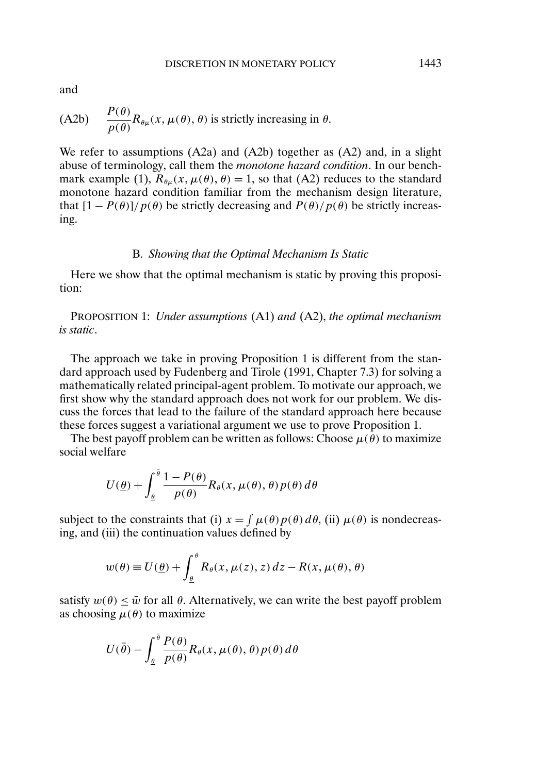(A2b) 
$$
\frac{P(\theta)}{p(\theta)} R_{\theta\mu}(x, \mu(\theta), \theta)
$$
 is strictly increasing in  $\theta$ .

We refer to assumptions (A2a) and (A2b) together as (A2) and, in a slight abuse of terminology, call them the *monotone hazard condition*. In our benchmark example (1),  $R_{\theta\mu}(x, \mu(\theta), \theta) = 1$ , so that (A2) reduces to the standard monotone hazard condition familiar from the mechanism design literature, that  $[1 - P(\theta)]/p(\theta)$  be strictly decreasing and  $P(\theta)/p(\theta)$  be strictly increasing.

## B. *Showing that the Optimal Mechanism Is Static*

Here we show that the optimal mechanism is static by proving this proposition:

PROPOSITION 1: *Under assumptions* (A1) *and* (A2), *the optimal mechanism is static*.

The approach we take in proving Proposition 1 is different from the standard approach used by Fudenberg and Tirole (1991, Chapter 7.3) for solving a mathematically related principal-agent problem. To motivate our approach, we first show why the standard approach does not work for our problem. We discuss the forces that lead to the failure of the standard approach here because these forces suggest a variational argument we use to prove Proposition 1.

The best payoff problem can be written as follows: Choose  $\mu(\theta)$  to maximize social welfare

$$
U(\underline{\theta}) + \int_{\underline{\theta}}^{\overline{\theta}} \frac{1 - P(\theta)}{p(\theta)} R_{\theta}(x, \mu(\theta), \theta) p(\theta) d\theta
$$

subject to the constraints that (i)  $x = \int \mu(\theta)p(\theta) d\theta$ , (ii)  $\mu(\theta)$  is nondecreasing, and (iii) the continuation values defined by

$$
w(\theta) \equiv U(\underline{\theta}) + \int_{\underline{\theta}}^{\theta} R_{\theta}(x, \mu(z), z) dz - R(x, \mu(\theta), \theta)
$$

satisfy  $w(\theta) < \bar{w}$  for all  $\theta$ . Alternatively, we can write the best payoff problem as choosing  $\mu(\theta)$  to maximize

$$
U(\bar{\theta}) - \int_{\underline{\theta}}^{\bar{\theta}} \frac{P(\theta)}{p(\theta)} R_{\theta}(x, \mu(\theta), \theta) p(\theta) d\theta
$$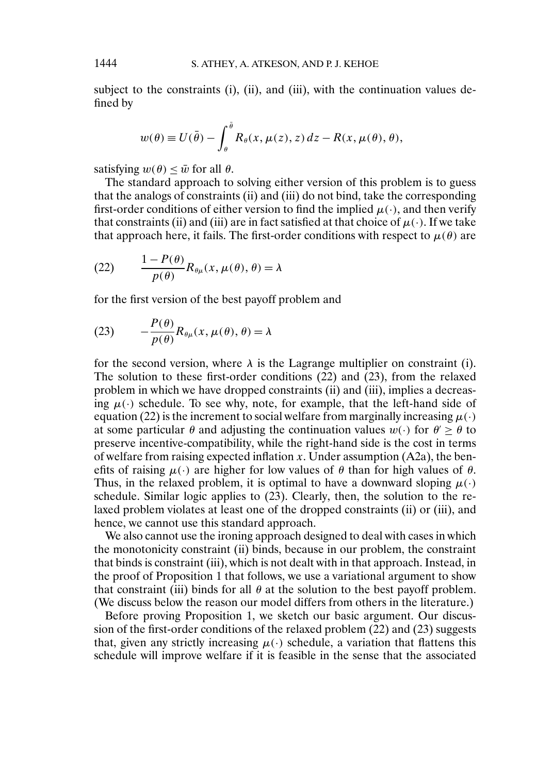subject to the constraints (i), (ii), and (iii), with the continuation values defined by

$$
w(\theta) \equiv U(\bar{\theta}) - \int_{\theta}^{\bar{\theta}} R_{\theta}(x, \mu(z), z) dz - R(x, \mu(\theta), \theta),
$$

satisfying  $w(\theta) \leq \bar{w}$  for all  $\theta$ .

The standard approach to solving either version of this problem is to guess that the analogs of constraints (ii) and (iii) do not bind, take the corresponding first-order conditions of either version to find the implied  $\mu(\cdot)$ , and then verify that constraints (ii) and (iii) are in fact satisfied at that choice of  $\mu(\cdot)$ . If we take that approach here, it fails. The first-order conditions with respect to  $\mu(\theta)$  are

(22) 
$$
\frac{1 - P(\theta)}{p(\theta)} R_{\theta\mu}(x, \mu(\theta), \theta) = \lambda
$$

for the first version of the best payoff problem and

(23) 
$$
-\frac{P(\theta)}{p(\theta)}R_{\theta\mu}(x,\mu(\theta),\theta)=\lambda
$$

for the second version, where  $\lambda$  is the Lagrange multiplier on constraint (i). The solution to these first-order conditions (22) and (23), from the relaxed problem in which we have dropped constraints (ii) and (iii), implies a decreasing  $\mu(\cdot)$  schedule. To see why, note, for example, that the left-hand side of equation (22) is the increment to social welfare from marginally increasing  $\mu(\cdot)$ at some particular  $\theta$  and adjusting the continuation values  $w(\cdot)$  for  $\theta' > \theta$  to preserve incentive-compatibility, while the right-hand side is the cost in terms of welfare from raising expected inflation x. Under assumption  $(A2a)$ , the benefits of raising  $\mu(\cdot)$  are higher for low values of  $\theta$  than for high values of  $\theta$ . Thus, in the relaxed problem, it is optimal to have a downward sloping  $\mu(\cdot)$ schedule. Similar logic applies to (23). Clearly, then, the solution to the relaxed problem violates at least one of the dropped constraints (ii) or (iii), and hence, we cannot use this standard approach.

We also cannot use the ironing approach designed to deal with cases in which the monotonicity constraint (ii) binds, because in our problem, the constraint that binds is constraint (iii), which is not dealt with in that approach. Instead, in the proof of Proposition 1 that follows, we use a variational argument to show that constraint (iii) binds for all  $\theta$  at the solution to the best payoff problem. (We discuss below the reason our model differs from others in the literature.)

Before proving Proposition 1, we sketch our basic argument. Our discussion of the first-order conditions of the relaxed problem (22) and (23) suggests that, given any strictly increasing  $\mu(\cdot)$  schedule, a variation that flattens this schedule will improve welfare if it is feasible in the sense that the associated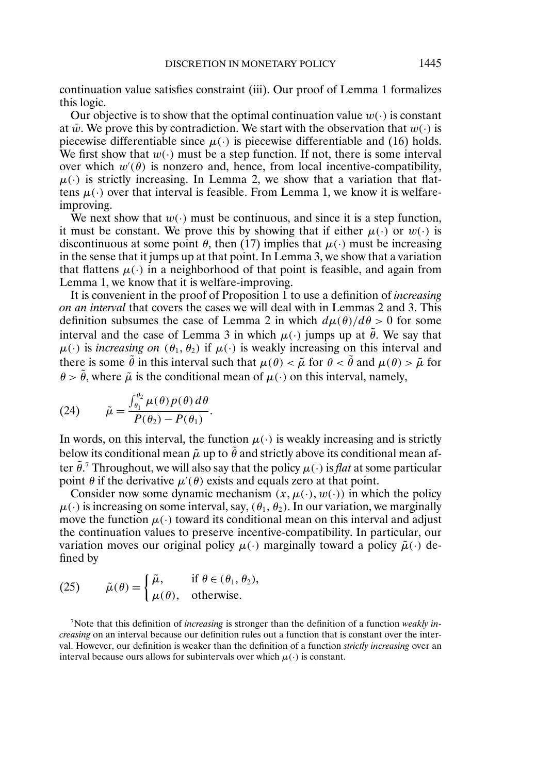continuation value satisfies constraint (iii). Our proof of Lemma 1 formalizes this logic.

Our objective is to show that the optimal continuation value  $w(\cdot)$  is constant at  $\bar{w}$ . We prove this by contradiction. We start with the observation that  $w(\cdot)$  is piecewise differentiable since  $\mu(\cdot)$  is piecewise differentiable and (16) holds. We first show that  $w(\cdot)$  must be a step function. If not, there is some interval over which  $w(\theta)$  is nonzero and, hence, from local incentive-compatibility,  $\mu(\cdot)$  is strictly increasing. In Lemma 2, we show that a variation that flattens  $\mu(\cdot)$  over that interval is feasible. From Lemma 1, we know it is welfareimproving.

We next show that  $w(\cdot)$  must be continuous, and since it is a step function, it must be constant. We prove this by showing that if either  $\mu(\cdot)$  or  $w(\cdot)$  is discontinuous at some point  $\theta$ , then (17) implies that  $\mu(\cdot)$  must be increasing in the sense that it jumps up at that point. In Lemma 3, we show that a variation that flattens  $\mu(\cdot)$  in a neighborhood of that point is feasible, and again from Lemma 1, we know that it is welfare-improving.

It is convenient in the proof of Proposition 1 to use a definition of *increasing on an interval* that covers the cases we will deal with in Lemmas 2 and 3. This definition subsumes the case of Lemma 2 in which  $d\mu(\theta)/d\theta > 0$  for some interval and the case of Lemma 3 in which  $\mu(\cdot)$  jumps up at  $\tilde{\theta}$ . We say that  $\mu(\cdot)$  is *increasing on*  $(\theta_1, \theta_2)$  if  $\mu(\cdot)$  is weakly increasing on this interval and there is some  $\tilde{\theta}$  in this interval such that  $\mu(\theta) < \tilde{\mu}$  for  $\theta < \tilde{\theta}$  and  $\mu(\theta) > \tilde{\mu}$  for  $\theta > \theta$ , where  $\tilde{\mu}$  is the conditional mean of  $\mu(\cdot)$  on this interval, namely,

(24) 
$$
\tilde{\mu} = \frac{\int_{\theta_1}^{\theta_2} \mu(\theta) p(\theta) d\theta}{P(\theta_2) - P(\theta_1)}.
$$

In words, on this interval, the function  $\mu(\cdot)$  is weakly increasing and is strictly below its conditional mean  $\tilde{\mu}$  up to  $\tilde{\theta}$  and strictly above its conditional mean after  $\tilde{\theta}$ .<sup>7</sup> Throughout, we will also say that the policy  $\mu(\cdot)$  is *flat* at some particular point  $\theta$  if the derivative  $\mu'(\theta)$  exists and equals zero at that point.

Consider now some dynamic mechanism  $(x, \mu(\cdot), w(\cdot))$  in which the policy  $\mu(\cdot)$  is increasing on some interval, say,  $(\theta_1, \theta_2)$ . In our variation, we marginally move the function  $\mu(\cdot)$  toward its conditional mean on this interval and adjust the continuation values to preserve incentive-compatibility. In particular, our variation moves our original policy  $\mu(\cdot)$  marginally toward a policy  $\tilde{\mu}(\cdot)$  defined by

(25) 
$$
\tilde{\mu}(\theta) = \begin{cases} \tilde{\mu}, & \text{if } \theta \in (\theta_1, \theta_2), \\ \mu(\theta), & \text{otherwise.} \end{cases}
$$

7Note that this definition of *increasing* is stronger than the definition of a function *weakly increasing* on an interval because our definition rules out a function that is constant over the interval. However, our definition is weaker than the definition of a function *strictly increasing* over an interval because ours allows for subintervals over which  $\mu(\cdot)$  is constant.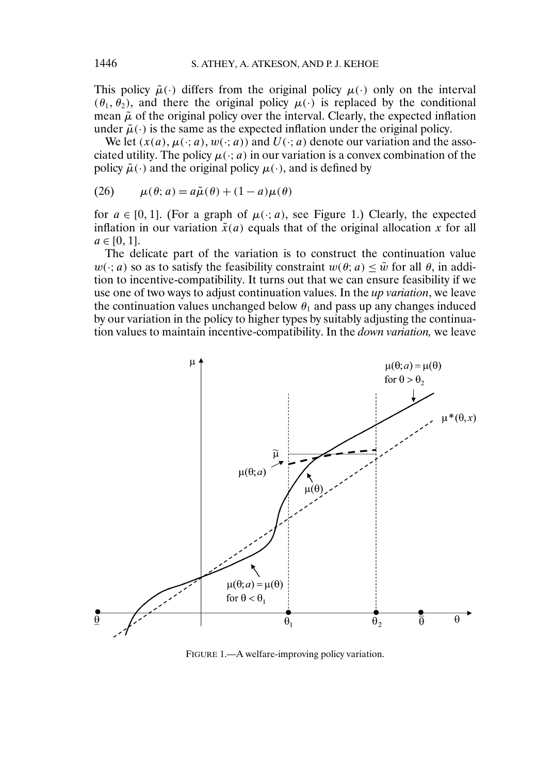This policy  $\tilde{\mu}(\cdot)$  differs from the original policy  $\mu(\cdot)$  only on the interval  $(\theta_1, \theta_2)$ , and there the original policy  $\mu(\cdot)$  is replaced by the conditional mean  $\tilde{\mu}$  of the original policy over the interval. Clearly, the expected inflation under  $\tilde{\mu}(\cdot)$  is the same as the expected inflation under the original policy.

We let  $(x(a), \mu(\cdot; a), w(\cdot; a))$  and  $U(\cdot; a)$  denote our variation and the associated utility. The policy  $\mu(\cdot; a)$  in our variation is a convex combination of the policy  $\tilde{\mu}(\cdot)$  and the original policy  $\mu(\cdot)$ , and is defined by

(26) 
$$
\mu(\theta; a) = a\tilde{\mu}(\theta) + (1 - a)\mu(\theta)
$$

for  $a \in [0, 1]$ . (For a graph of  $\mu(\cdot; a)$ , see Figure 1.) Clearly, the expected inflation in our variation  $\tilde{x}(a)$  equals that of the original allocation x for all  $a \in [0, 1].$ 

The delicate part of the variation is to construct the continuation value  $w(\cdot; a)$  so as to satisfy the feasibility constraint  $w(\theta; a) \leq \bar{w}$  for all  $\theta$ , in addition to incentive-compatibility. It turns out that we can ensure feasibility if we use one of two ways to adjust continuation values. In the *up variation*, we leave the continuation values unchanged below  $\theta_1$  and pass up any changes induced by our variation in the policy to higher types by suitably adjusting the continuation values to maintain incentive-compatibility. In the *down variation,* we leave



FIGURE 1.—A welfare-improving policy variation.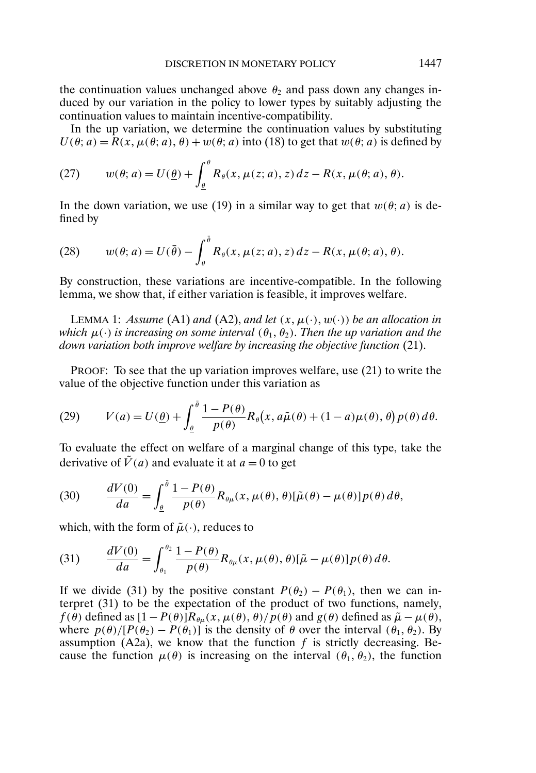the continuation values unchanged above  $\theta_2$  and pass down any changes induced by our variation in the policy to lower types by suitably adjusting the continuation values to maintain incentive-compatibility.

In the up variation, we determine the continuation values by substituting  $U(\theta; a) = R(x, \mu(\theta; a), \theta) + w(\theta; a)$  into (18) to get that  $w(\theta; a)$  is defined by

(27) 
$$
w(\theta; a) = U(\underline{\theta}) + \int_{\underline{\theta}}^{\theta} R_{\theta}(x, \mu(z; a), z) dz - R(x, \mu(\theta; a), \theta).
$$

In the down variation, we use (19) in a similar way to get that  $w(\theta; a)$  is defined by

(28) 
$$
w(\theta; a) = U(\bar{\theta}) - \int_{\theta}^{\bar{\theta}} R_{\theta}(x, \mu(z; a), z) dz - R(x, \mu(\theta; a), \theta).
$$

By construction, these variations are incentive-compatible. In the following lemma, we show that, if either variation is feasible, it improves welfare.

LEMMA 1: *Assume* (A1) *and* (A2), *and let*  $(x, \mu(\cdot), w(\cdot))$  *be an allocation in which*  $\mu(\cdot)$  *is increasing on some interval*  $(\theta_1, \theta_2)$ *. Then the up variation and the down variation both improve welfare by increasing the objective function* (21).

PROOF: To see that the up variation improves welfare, use (21) to write the value of the objective function under this variation as

(29) 
$$
V(a) = U(\underline{\theta}) + \int_{\underline{\theta}}^{\overline{\theta}} \frac{1 - P(\theta)}{p(\theta)} R_{\theta}(x, a\tilde{\mu}(\theta) + (1 - a)\mu(\theta), \theta) p(\theta) d\theta.
$$

To evaluate the effect on welfare of a marginal change of this type, take the derivative of  $\tilde{V}(a)$  and evaluate it at  $a = 0$  to get

(30) 
$$
\frac{dV(0)}{da} = \int_{\underline{\theta}}^{\overline{\theta}} \frac{1 - P(\theta)}{p(\theta)} R_{\theta\mu}(x, \mu(\theta), \theta) [\tilde{\mu}(\theta) - \mu(\theta)] p(\theta) d\theta,
$$

which, with the form of  $\tilde{\mu}(\cdot)$ , reduces to

(31) 
$$
\frac{dV(0)}{da} = \int_{\theta_1}^{\theta_2} \frac{1 - P(\theta)}{p(\theta)} R_{\theta\mu}(x, \mu(\theta), \theta) [\tilde{\mu} - \mu(\theta)] p(\theta) d\theta.
$$

If we divide (31) by the positive constant  $P(\theta_2) - P(\theta_1)$ , then we can interpret (31) to be the expectation of the product of two functions, namely,  $f(\theta)$  defined as  $[1 - P(\theta)]R_{\theta\mu}(x, \mu(\theta), \theta)/p(\theta)$  and  $g(\theta)$  defined as  $\tilde{\mu} - \mu(\theta)$ , where  $p(\theta)/[P(\theta_2) - P(\theta_1)]$  is the density of  $\theta$  over the interval  $(\theta_1, \theta_2)$ . By assumption (A2a), we know that the function  $f$  is strictly decreasing. Because the function  $\mu(\theta)$  is increasing on the interval  $(\theta_1, \theta_2)$ , the function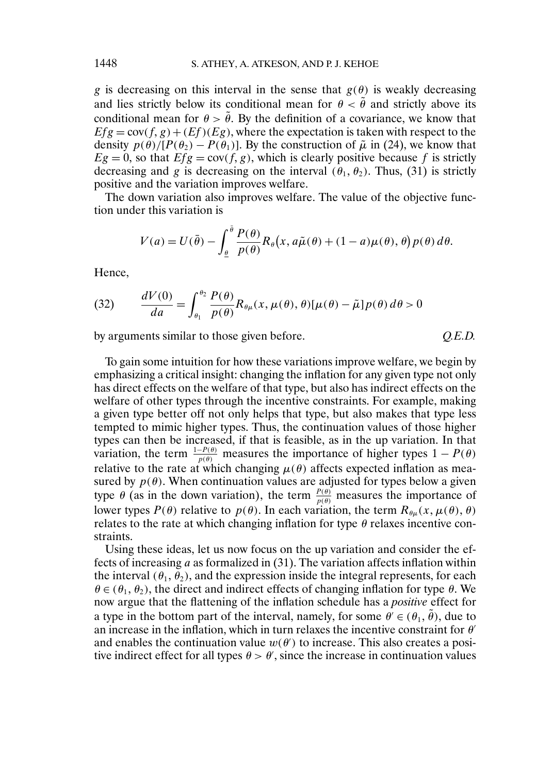g is decreasing on this interval in the sense that  $g(\theta)$  is weakly decreasing and lies strictly below its conditional mean for  $\theta < \theta$  and strictly above its conditional mean for  $\theta > \tilde{\theta}$ . By the definition of a covariance, we know that  $Efg = cov(f, g) + (Ef)(Eg)$ , where the expectation is taken with respect to the density  $p(\theta)/[P(\theta_2) - P(\theta_1)]$ . By the construction of  $\tilde{\mu}$  in (24), we know that  $Eg = 0$ , so that  $Efg = cov(f, g)$ , which is clearly positive because f is strictly decreasing and g is decreasing on the interval  $(\theta_1, \theta_2)$ . Thus, (31) is strictly positive and the variation improves welfare.

The down variation also improves welfare. The value of the objective function under this variation is

$$
V(a) = U(\bar{\theta}) - \int_{\underline{\theta}}^{\bar{\theta}} \frac{P(\theta)}{p(\theta)} R_{\theta}(x, a\tilde{\mu}(\theta) + (1 - a)\mu(\theta), \theta) p(\theta) d\theta.
$$

Hence,

(32) 
$$
\frac{dV(0)}{da} = \int_{\theta_1}^{\theta_2} \frac{P(\theta)}{p(\theta)} R_{\theta\mu}(x, \mu(\theta), \theta) [\mu(\theta) - \tilde{\mu}] p(\theta) d\theta > 0
$$

by arguments similar to those given before. *Q.E.D.*

To gain some intuition for how these variations improve welfare, we begin by emphasizing a critical insight: changing the inflation for any given type not only has direct effects on the welfare of that type, but also has indirect effects on the welfare of other types through the incentive constraints. For example, making a given type better off not only helps that type, but also makes that type less tempted to mimic higher types. Thus, the continuation values of those higher types can then be increased, if that is feasible, as in the up variation. In that variation, the term  $\frac{1-P(\theta)}{P(\theta)}$  measures the importance of higher types  $1-P(\theta)$ relative to the rate at which changing  $\mu(\theta)$  affects expected inflation as measured by  $p(\theta)$ . When continuation values are adjusted for types below a given type  $\theta$  (as in the down variation), the term  $\frac{P(\theta)}{P(\theta)}$  measures the importance of lower types  $P(\theta)$  relative to  $p(\theta)$ . In each variation, the term  $R_{\theta\mu}(x, \mu(\theta), \theta)$ relates to the rate at which changing inflation for type  $\theta$  relaxes incentive constraints.

Using these ideas, let us now focus on the up variation and consider the effects of increasing a as formalized in (31). The variation affects inflation within the interval  $(\theta_1, \theta_2)$ , and the expression inside the integral represents, for each  $\theta \in (\theta_1, \theta_2)$ , the direct and indirect effects of changing inflation for type  $\theta$ . We now argue that the flattening of the inflation schedule has a *positive* effect for a type in the bottom part of the interval, namely, for some  $\theta' \in (\theta_1, \theta)$ , due to an increase in the inflation, which in turn relaxes the incentive constraint for  $\theta'$ and enables the continuation value  $w(\theta')$  to increase. This also creates a positive indirect effect for all types  $\theta > \theta'$ , since the increase in continuation values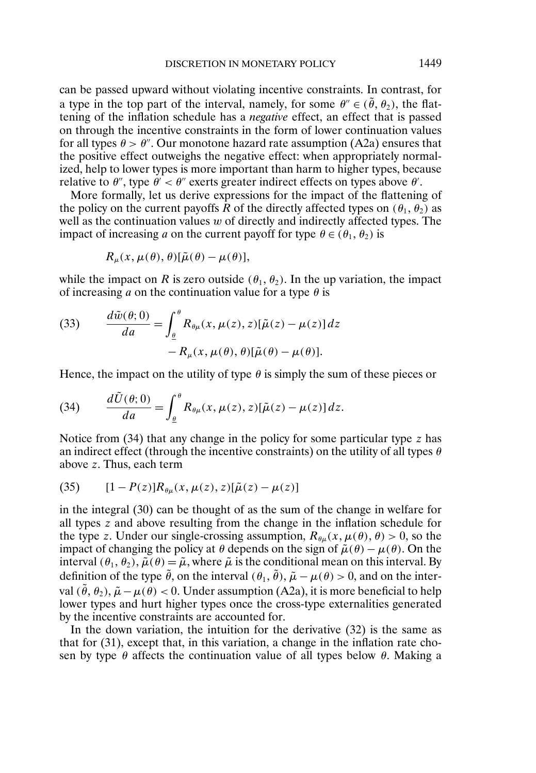can be passed upward without violating incentive constraints. In contrast, for a type in the top part of the interval, namely, for some  $\theta'' \in (\tilde{\theta}, \theta_2)$ , the flattening of the inflation schedule has a *negative* effect, an effect that is passed on through the incentive constraints in the form of lower continuation values for all types  $\theta > \theta'$ . Our monotone hazard rate assumption (A2a) ensures that the positive effect outweighs the negative effect: when appropriately normalized, help to lower types is more important than harm to higher types, because relative to  $\theta''$ , type  $\theta' < \theta''$  exerts greater indirect effects on types above  $\theta'$ .

More formally, let us derive expressions for the impact of the flattening of the policy on the current payoffs R of the directly affected types on  $(\theta_1, \theta_2)$  as well as the continuation values  $w$  of directly and indirectly affected types. The impact of increasing a on the current payoff for type  $\theta \in (\theta_1, \theta_2)$  is

$$
R_{\mu}(x,\mu(\theta),\theta)[\tilde{\mu}(\theta)-\mu(\theta)],
$$

while the impact on R is zero outside  $(\theta_1, \theta_2)$ . In the up variation, the impact of increasing a on the continuation value for a type  $\theta$  is

(33) 
$$
\frac{d\tilde{w}(\theta;0)}{da} = \int_{\underline{\theta}}^{\theta} R_{\theta\mu}(x,\mu(z),z)[\tilde{\mu}(z) - \mu(z)]dz - R_{\mu}(x,\mu(\theta),\theta)[\tilde{\mu}(\theta) - \mu(\theta)].
$$

Hence, the impact on the utility of type  $\theta$  is simply the sum of these pieces or

(34) 
$$
\frac{d\tilde{U}(\theta;0)}{da} = \int_{\underline{\theta}}^{\theta} R_{\theta\mu}(x,\mu(z),z)[\tilde{\mu}(z) - \mu(z)]dz.
$$

Notice from  $(34)$  that any change in the policy for some particular type z has an indirect effect (through the incentive constraints) on the utility of all types  $\theta$ above z. Thus, each term

(35) 
$$
[1 - P(z)]R_{\theta\mu}(x, \mu(z), z)[\tilde{\mu}(z) - \mu(z)]
$$

in the integral (30) can be thought of as the sum of the change in welfare for all types z and above resulting from the change in the inflation schedule for the type z. Under our single-crossing assumption,  $R_{\theta\mu}(x, \mu(\theta), \theta) > 0$ , so the impact of changing the policy at  $\theta$  depends on the sign of  $\tilde{\mu}(\theta) - \mu(\theta)$ . On the interval  $(\theta_1, \theta_2), \tilde{\mu}(\theta) = \tilde{\mu}$ , where  $\tilde{\mu}$  is the conditional mean on this interval. By definition of the type  $\tilde{\theta}$ , on the interval  $(\theta_1, \tilde{\theta}), \tilde{\mu} - \mu(\theta) > 0$ , and on the interval  $(\tilde{\theta}, \theta_2), \tilde{\mu} - \mu(\theta) < 0$ . Under assumption (A2a), it is more beneficial to help lower types and hurt higher types once the cross-type externalities generated by the incentive constraints are accounted for.

In the down variation, the intuition for the derivative (32) is the same as that for (31), except that, in this variation, a change in the inflation rate chosen by type  $\theta$  affects the continuation value of all types below  $\theta$ . Making a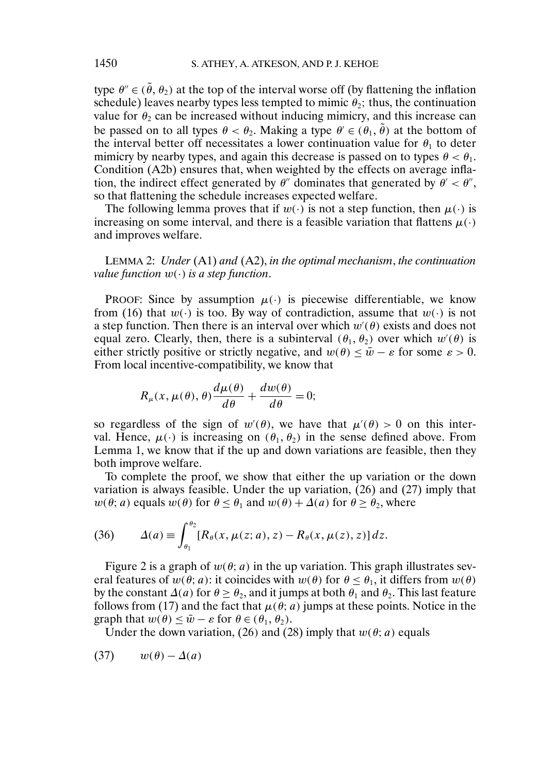type  $\theta'' \in (\tilde{\theta}, \theta_2)$  at the top of the interval worse off (by flattening the inflation schedule) leaves nearby types less tempted to mimic  $\theta_2$ ; thus, the continuation value for  $\theta_2$  can be increased without inducing mimicry, and this increase can be passed on to all types  $\theta < \theta_2$ . Making a type  $\theta' \in (\theta_1, \tilde{\theta})$  at the bottom of the interval better off necessitates a lower continuation value for  $\theta_1$  to deter mimicry by nearby types, and again this decrease is passed on to types  $\theta < \theta_1$ . Condition (A2b) ensures that, when weighted by the effects on average inflation, the indirect effect generated by  $\theta''$  dominates that generated by  $\theta' < \theta''$ , so that flattening the schedule increases expected welfare.

The following lemma proves that if  $w(\cdot)$  is not a step function, then  $\mu(\cdot)$  is increasing on some interval, and there is a feasible variation that flattens  $\mu(\cdot)$ and improves welfare.

LEMMA 2: *Under* (A1) *and* (A2), *in the optimal mechanism*, *the continuation value function* w(·) *is a step function*.

PROOF: Since by assumption  $\mu(\cdot)$  is piecewise differentiable, we know from (16) that  $w(\cdot)$  is too. By way of contradiction, assume that  $w(\cdot)$  is not a step function. Then there is an interval over which  $w'(\theta)$  exists and does not equal zero. Clearly, then, there is a subinterval  $(\theta_1, \theta_2)$  over which  $w'(\theta)$  is either strictly positive or strictly negative, and  $w(\theta) \leq \bar{w} - \varepsilon$  for some  $\varepsilon > 0$ . From local incentive-compatibility, we know that

$$
R_{\mu}(x,\mu(\theta),\theta)\frac{d\mu(\theta)}{d\theta} + \frac{dw(\theta)}{d\theta} = 0;
$$

so regardless of the sign of  $w'(\theta)$ , we have that  $\mu'(\theta) > 0$  on this interval. Hence,  $\mu(\cdot)$  is increasing on  $(\theta_1, \theta_2)$  in the sense defined above. From Lemma 1, we know that if the up and down variations are feasible, then they both improve welfare.

To complete the proof, we show that either the up variation or the down variation is always feasible. Under the up variation,  $(26)$  and  $(27)$  imply that  $w(\theta; a)$  equals  $w(\theta)$  for  $\theta \leq \theta_1$  and  $w(\theta) + \Delta(a)$  for  $\theta \geq \theta_2$ , where

(36) 
$$
\Delta(a) \equiv \int_{\theta_1}^{\theta_2} [R_{\theta}(x, \mu(z; a), z) - R_{\theta}(x, \mu(z), z)] dz.
$$

Figure 2 is a graph of  $w(\theta; a)$  in the up variation. This graph illustrates several features of  $w(\theta; a)$ : it coincides with  $w(\theta)$  for  $\theta \le \theta_1$ , it differs from  $w(\theta)$ by the constant  $\Delta(a)$  for  $\theta \ge \theta_2$ , and it jumps at both  $\theta_1$  and  $\theta_2$ . This last feature follows from (17) and the fact that  $\mu(\theta; a)$  jumps at these points. Notice in the graph that  $w(\theta) \leq \bar{w} - \varepsilon$  for  $\theta \in (\theta_1, \theta_2)$ .

Under the down variation, (26) and (28) imply that  $w(\theta; a)$  equals

$$
(37) \qquad w(\theta) - \Delta(a)
$$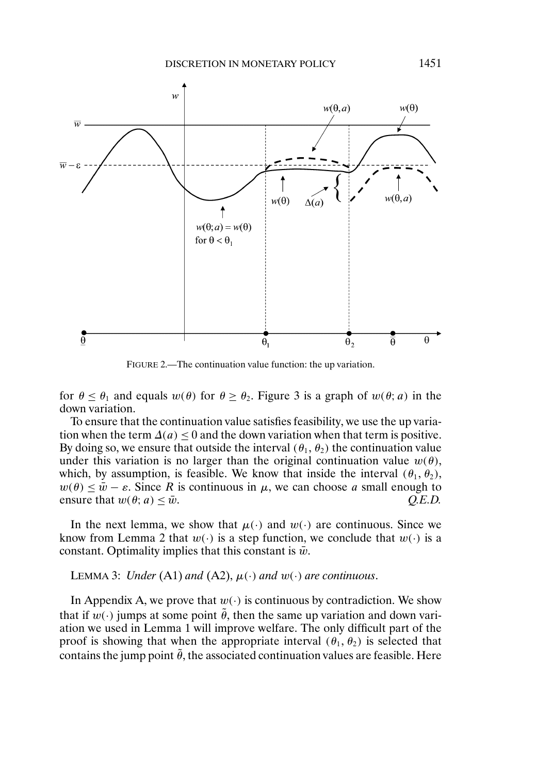

FIGURE 2.—The continuation value function: the up variation.

for  $\theta \le \theta_1$  and equals  $w(\theta)$  for  $\theta \ge \theta_2$ . Figure 3 is a graph of  $w(\theta; a)$  in the down variation.

To ensure that the continuation value satisfies feasibility, we use the up variation when the term  $\Delta(a) < 0$  and the down variation when that term is positive. By doing so, we ensure that outside the interval  $(\theta_1, \theta_2)$  the continuation value under this variation is no larger than the original continuation value  $w(\theta)$ , which, by assumption, is feasible. We know that inside the interval  $(\theta_1, \theta_2)$ ,  $w(\theta) \leq \bar{w} - \varepsilon$ . Since R is continuous in  $\mu$ , we can choose a small enough to ensure that  $w(\theta; a) \leq \bar{w}$ .  $Q.E.D.$ 

In the next lemma, we show that  $\mu(\cdot)$  and  $w(\cdot)$  are continuous. Since we know from Lemma 2 that  $w(\cdot)$  is a step function, we conclude that  $w(\cdot)$  is a constant. Optimality implies that this constant is  $\bar{w}$ .

LEMMA 3: *Under* (A1) *and* (A2),  $\mu(\cdot)$  *and*  $w(\cdot)$  *are continuous.* 

In Appendix A, we prove that  $w(\cdot)$  is continuous by contradiction. We show that if  $w(\cdot)$  jumps at some point  $\tilde{\theta}$ , then the same up variation and down variation we used in Lemma 1 will improve welfare. The only difficult part of the proof is showing that when the appropriate interval  $(\theta_1, \theta_2)$  is selected that contains the jump point  $\tilde{\theta}$ , the associated continuation values are feasible. Here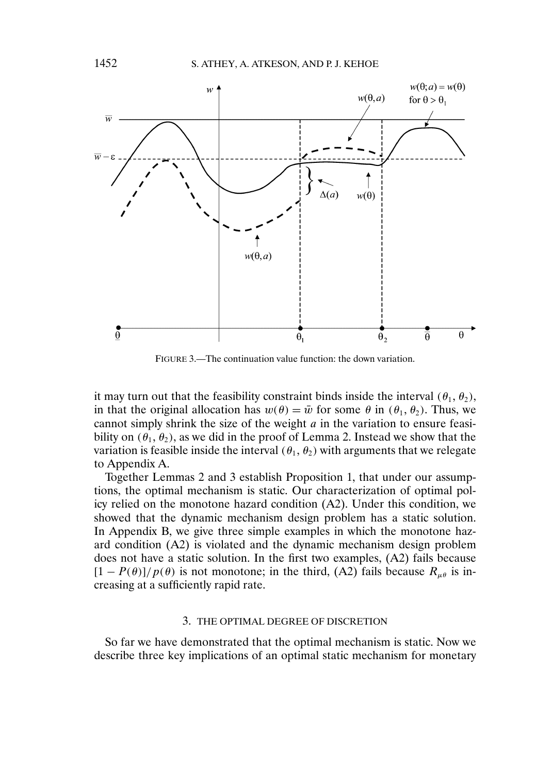

FIGURE 3.—The continuation value function: the down variation.

it may turn out that the feasibility constraint binds inside the interval  $(\theta_1, \theta_2)$ , in that the original allocation has  $w(\theta) = \bar{w}$  for some  $\theta$  in  $(\theta_1, \theta_2)$ . Thus, we cannot simply shrink the size of the weight a in the variation to ensure feasibility on  $(\theta_1, \theta_2)$ , as we did in the proof of Lemma 2. Instead we show that the variation is feasible inside the interval  $(\theta_1, \theta_2)$  with arguments that we relegate to Appendix A.

Together Lemmas 2 and 3 establish Proposition 1, that under our assumptions, the optimal mechanism is static. Our characterization of optimal policy relied on the monotone hazard condition (A2). Under this condition, we showed that the dynamic mechanism design problem has a static solution. In Appendix B, we give three simple examples in which the monotone hazard condition (A2) is violated and the dynamic mechanism design problem does not have a static solution. In the first two examples, (A2) fails because  $[1 - P(\theta)]/p(\theta)$  is not monotone; in the third, (A2) fails because  $R_{\mu\theta}$  is increasing at a sufficiently rapid rate.

#### 3. THE OPTIMAL DEGREE OF DISCRETION

So far we have demonstrated that the optimal mechanism is static. Now we describe three key implications of an optimal static mechanism for monetary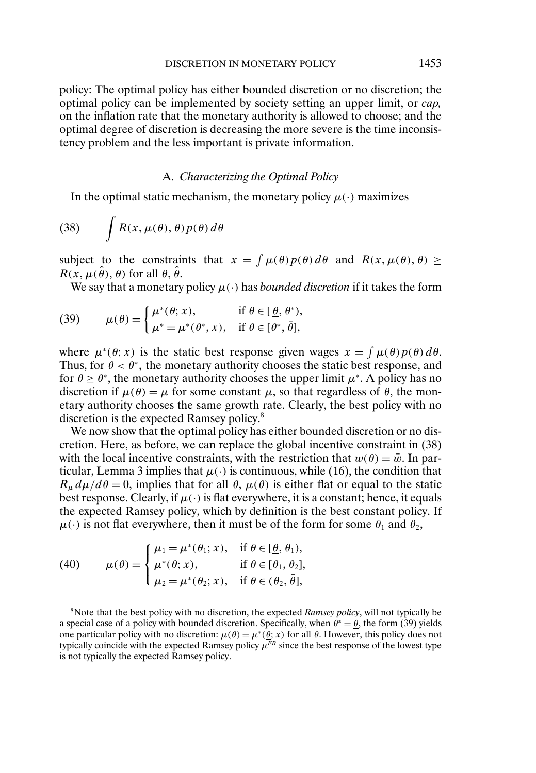policy: The optimal policy has either bounded discretion or no discretion; the optimal policy can be implemented by society setting an upper limit, or *cap,* on the inflation rate that the monetary authority is allowed to choose; and the optimal degree of discretion is decreasing the more severe is the time inconsistency problem and the less important is private information.

### A. *Characterizing the Optimal Policy*

In the optimal static mechanism, the monetary policy  $\mu(\cdot)$  maximizes

(38) 
$$
\int R(x,\mu(\theta),\theta)p(\theta) d\theta
$$

subject to the constraints that  $x = \int \mu(\theta)p(\theta) d\theta$  and  $R(x, \mu(\theta), \theta) \ge$  $R(x, \mu(\hat{\theta}), \theta)$  for all  $\theta, \hat{\theta}$ .

We say that a monetary policy  $\mu(\cdot)$  has *bounded discretion* if it takes the form

(39) 
$$
\mu(\theta) = \begin{cases} \mu^*(\theta; x), & \text{if } \theta \in [\underline{\theta}, \theta^*), \\ \mu^* = \mu^*(\theta^*, x), & \text{if } \theta \in [\theta^*, \overline{\theta}], \end{cases}
$$

where  $\mu^*(\theta; x)$  is the static best response given wages  $x = \int \mu(\theta) p(\theta) d\theta$ . Thus, for  $\theta < \theta^*$ , the monetary authority chooses the static best response, and for  $\theta > \theta^*$ , the monetary authority chooses the upper limit  $\mu^*$ . A policy has no discretion if  $\mu(\theta) = \mu$  for some constant  $\mu$ , so that regardless of  $\theta$ , the monetary authority chooses the same growth rate. Clearly, the best policy with no discretion is the expected Ramsey policy.8

We now show that the optimal policy has either bounded discretion or no discretion. Here, as before, we can replace the global incentive constraint in (38) with the local incentive constraints, with the restriction that  $w(\theta) = \bar{w}$ . In particular, Lemma 3 implies that  $\mu(\cdot)$  is continuous, while (16), the condition that  $R_u du/d\theta = 0$ , implies that for all  $\theta$ ,  $\mu(\theta)$  is either flat or equal to the static best response. Clearly, if  $\mu(\cdot)$  is flat everywhere, it is a constant; hence, it equals the expected Ramsey policy, which by definition is the best constant policy. If  $\mu(\cdot)$  is not flat everywhere, then it must be of the form for some  $\theta_1$  and  $\theta_2$ ,

(40) 
$$
\mu(\theta) = \begin{cases} \mu_1 = \mu^*(\theta_1; x), & \text{if } \theta \in [\underline{\theta}, \theta_1), \\ \mu^*(\theta; x), & \text{if } \theta \in [\theta_1, \theta_2], \\ \mu_2 = \mu^*(\theta_2; x), & \text{if } \theta \in (\theta_2, \overline{\theta}], \end{cases}
$$

8Note that the best policy with no discretion, the expected *Ramsey policy*, will not typically be a special case of a policy with bounded discretion. Specifically, when  $\theta^* = \theta$ , the form (39) yields one particular policy with no discretion:  $\mu(\theta) = \mu^*(\theta; x)$  for all  $\theta$ . However, this policy does not typically coincide with the expected Ramsey policy  $\mu^{ER}$  since the best response of the lowest type is not typically the expected Ramsey policy.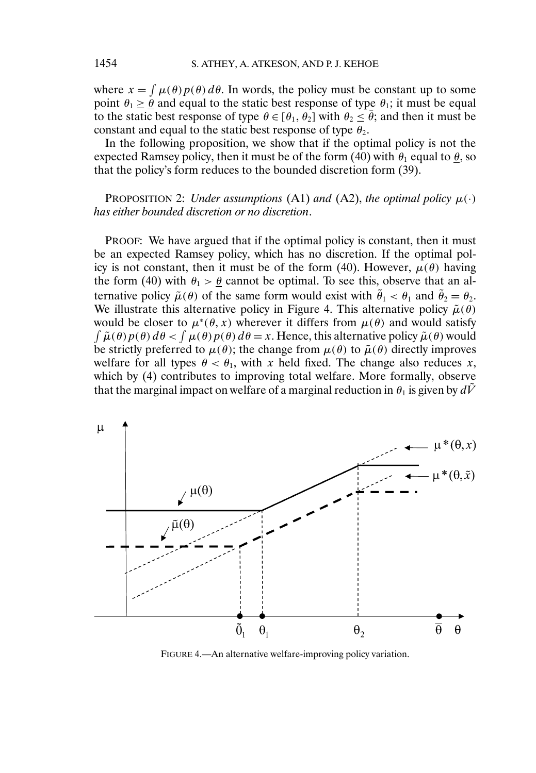where  $x = \int \mu(\theta) p(\theta) d\theta$ . In words, the policy must be constant up to some point  $\theta_1 \geq \theta$  and equal to the static best response of type  $\theta_1$ ; it must be equal to the static best response of type  $\theta \in [\theta_1, \theta_2]$  with  $\theta_2 \leq \overline{\theta}$ ; and then it must be constant and equal to the static best response of type  $\theta_2$ .

In the following proposition, we show that if the optimal policy is not the expected Ramsey policy, then it must be of the form (40) with  $\theta_1$  equal to  $\theta$ , so that the policy's form reduces to the bounded discretion form (39).

PROPOSITION 2: *Under assumptions* (A1) *and* (A2), *the optimal policy*  $\mu(\cdot)$ *has either bounded discretion or no discretion*.

PROOF: We have argued that if the optimal policy is constant, then it must be an expected Ramsey policy, which has no discretion. If the optimal policy is not constant, then it must be of the form (40). However,  $\mu(\theta)$  having the form (40) with  $\theta_1 > \theta$  cannot be optimal. To see this, observe that an alternative policy  $\tilde{\mu}(\theta)$  of the same form would exist with  $\tilde{\theta}_1 < \theta_1$  and  $\tilde{\theta}_2 = \theta_2$ . We illustrate this alternative policy in Figure 4. This alternative policy  $\tilde{\mu}(\theta)$ would be closer to  $\mu^*(\theta, x)$  wherever it differs from  $\mu(\theta)$  and would satisfy  $\int \tilde{\mu}(\theta)p(\theta) d\theta < \int \mu(\theta)p(\theta) d\theta = x$ . Hence, this alternative policy  $\tilde{\mu}(\theta)$  would be strictly preferred to  $\mu(\theta)$ ; the change from  $\mu(\theta)$  to  $\tilde{\mu}(\theta)$  directly improves welfare for all types  $\theta < \theta_1$ , with x held fixed. The change also reduces x, which by (4) contributes to improving total welfare. More formally, observe that the marginal impact on welfare of a marginal reduction in  $\theta_1$  is given by  $d\tilde{V}$ 



FIGURE 4.—An alternative welfare-improving policy variation.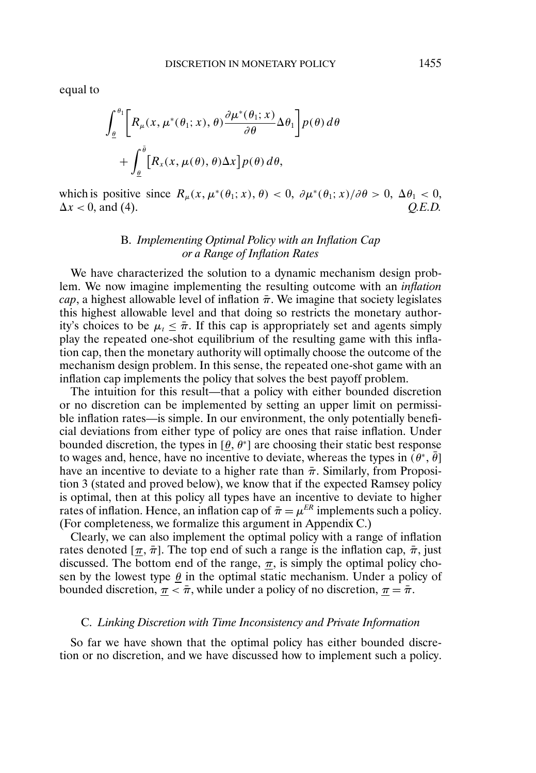equal to

$$
\int_{\underline{\theta}}^{\theta_1} \Bigg[ R_{\mu}(x, \mu^*(\theta_1; x), \theta) \frac{\partial \mu^*(\theta_1; x)}{\partial \theta} \Delta \theta_1 \Bigg] p(\theta) d\theta
$$

$$
+ \int_{\underline{\theta}}^{\overline{\theta}} \Big[ R_x(x, \mu(\theta), \theta) \Delta x \Big] p(\theta) d\theta,
$$

which is positive since  $R_u(x, \mu^*(\theta_1; x), \theta) < 0$ ,  $\partial \mu^*(\theta_1; x)/\partial \theta > 0$ ,  $\Delta \theta_1 < 0$ ,  $\Delta x < 0$ , and (4).  $Q.E.D.$ 

## B. *Implementing Optimal Policy with an Inflation Cap or a Range of Inflation Rates*

We have characterized the solution to a dynamic mechanism design problem. We now imagine implementing the resulting outcome with an *inflation cap*, a highest allowable level of inflation  $\bar{\pi}$ . We imagine that society legislates this highest allowable level and that doing so restricts the monetary authority's choices to be  $\mu_t < \overline{\pi}$ . If this cap is appropriately set and agents simply play the repeated one-shot equilibrium of the resulting game with this inflation cap, then the monetary authority will optimally choose the outcome of the mechanism design problem. In this sense, the repeated one-shot game with an inflation cap implements the policy that solves the best payoff problem.

The intuition for this result—that a policy with either bounded discretion or no discretion can be implemented by setting an upper limit on permissible inflation rates—is simple. In our environment, the only potentially beneficial deviations from either type of policy are ones that raise inflation. Under bounded discretion, the types in  $[\theta, \theta^*]$  are choosing their static best response to wages and, hence, have no incentive to deviate, whereas the types in  $(\theta^*, \theta)$ have an incentive to deviate to a higher rate than  $\bar{\pi}$ . Similarly, from Proposition 3 (stated and proved below), we know that if the expected Ramsey policy is optimal, then at this policy all types have an incentive to deviate to higher rates of inflation. Hence, an inflation cap of  $\bar{\pi} = \mu^{ER}$  implements such a policy. (For completeness, we formalize this argument in Appendix C.)

Clearly, we can also implement the optimal policy with a range of inflation rates denoted  $[\pi, \bar{\pi}]$ . The top end of such a range is the inflation cap,  $\bar{\pi}$ , just discussed. The bottom end of the range,  $\pi$ , is simply the optimal policy chosen by the lowest type  $\theta$  in the optimal static mechanism. Under a policy of bounded discretion,  $\pi < \bar{\pi}$ , while under a policy of no discretion,  $\pi = \bar{\pi}$ .

#### C. *Linking Discretion with Time Inconsistency and Private Information*

So far we have shown that the optimal policy has either bounded discretion or no discretion, and we have discussed how to implement such a policy.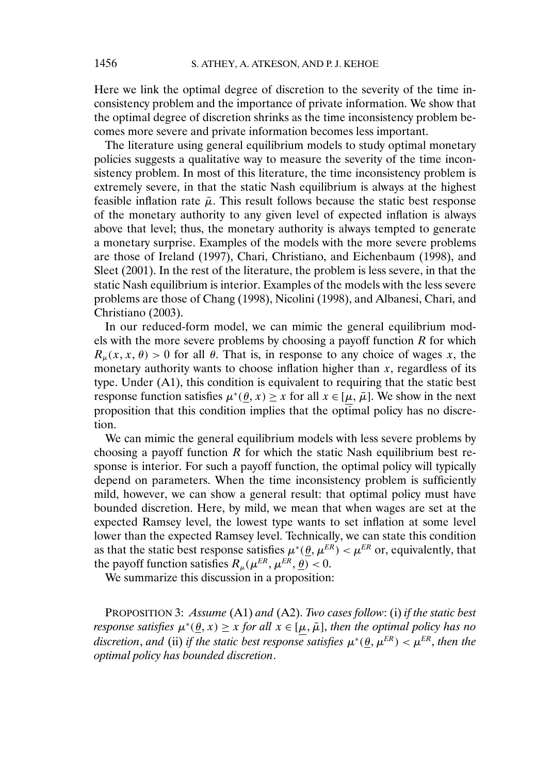Here we link the optimal degree of discretion to the severity of the time inconsistency problem and the importance of private information. We show that the optimal degree of discretion shrinks as the time inconsistency problem becomes more severe and private information becomes less important.

The literature using general equilibrium models to study optimal monetary policies suggests a qualitative way to measure the severity of the time inconsistency problem. In most of this literature, the time inconsistency problem is extremely severe, in that the static Nash equilibrium is always at the highest feasible inflation rate  $\bar{\mu}$ . This result follows because the static best response of the monetary authority to any given level of expected inflation is always above that level; thus, the monetary authority is always tempted to generate a monetary surprise. Examples of the models with the more severe problems are those of Ireland (1997), Chari, Christiano, and Eichenbaum (1998), and Sleet (2001). In the rest of the literature, the problem is less severe, in that the static Nash equilibrium is interior. Examples of the models with the less severe problems are those of Chang (1998), Nicolini (1998), and Albanesi, Chari, and Christiano (2003).

In our reduced-form model, we can mimic the general equilibrium models with the more severe problems by choosing a payoff function  $R$  for which  $R_u(x, x, \theta) > 0$  for all  $\theta$ . That is, in response to any choice of wages x, the monetary authority wants to choose inflation higher than  $x$ , regardless of its type. Under (A1), this condition is equivalent to requiring that the static best response function satisfies  $\mu^*(\theta, x) \geq x$  for all  $x \in [\mu, \bar{\mu}]$ . We show in the next proposition that this condition implies that the optimal policy has no discretion.

We can mimic the general equilibrium models with less severe problems by choosing a payoff function  $R$  for which the static Nash equilibrium best response is interior. For such a payoff function, the optimal policy will typically depend on parameters. When the time inconsistency problem is sufficiently mild, however, we can show a general result: that optimal policy must have bounded discretion. Here, by mild, we mean that when wages are set at the expected Ramsey level, the lowest type wants to set inflation at some level lower than the expected Ramsey level. Technically, we can state this condition as that the static best response satisfies  $\mu^*(\theta, \mu^{ER}) < \mu^{ER}$  or, equivalently, that the payoff function satisfies  $R_{\mu}(\mu^{ER}, \mu^{ER}, \theta) < 0$ .

We summarize this discussion in a proposition:

PROPOSITION 3: *Assume* (A1) *and* (A2). *Two cases follow*: (i) *if the static best response satisfies*  $\mu^*(\theta, x) \geq x$  *for all*  $x \in [\mu, \bar{\mu}]$ *, then the optimal policy has no discretion, and (ii) if the static best response satisfies*  $\mu^*(\theta, \mu^{ER}) < \mu^{ER}$ , *then the optimal policy has bounded discretion*.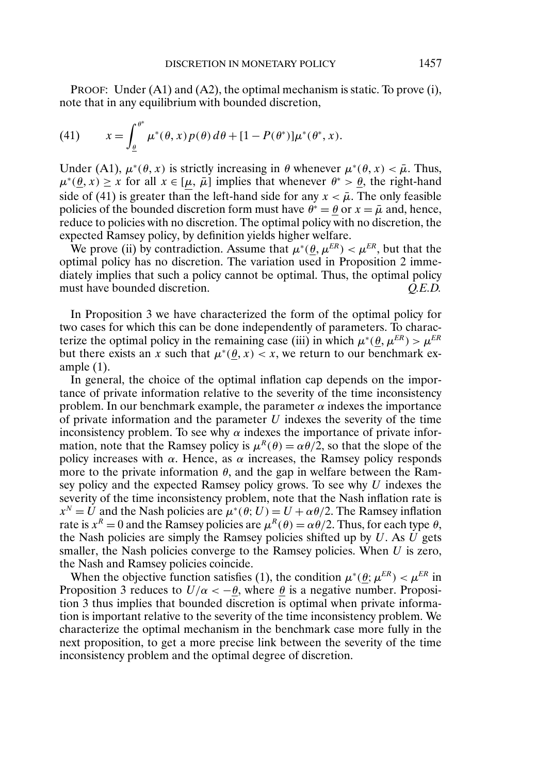PROOF: Under (A1) and (A2), the optimal mechanism is static. To prove (i), note that in any equilibrium with bounded discretion,

(41) 
$$
x = \int_{\underline{\theta}}^{\theta^*} \mu^*(\theta, x) p(\theta) d\theta + [1 - P(\theta^*)] \mu^*(\theta^*, x).
$$

Under (A1),  $\mu^*(\theta, x)$  is strictly increasing in  $\theta$  whenever  $\mu^*(\theta, x) < \bar{\mu}$ . Thus,  $\mu^*(\theta, x) \geq x$  for all  $x \in [\mu, \bar{\mu}]$  implies that whenever  $\theta^* > \theta$ , the right-hand side of (41) is greater than the left-hand side for any  $x < \bar{\mu}$ . The only feasible policies of the bounded discretion form must have  $\theta^* = \theta$  or  $x = \bar{\mu}$  and, hence, reduce to policies with no discretion. The optimal policy with no discretion, the expected Ramsey policy, by definition yields higher welfare.

We prove (ii) by contradiction. Assume that  $\mu^*(\theta, \mu^{ER}) < \mu^{ER}$ , but that the optimal policy has no discretion. The variation used in Proposition 2 immediately implies that such a policy cannot be optimal. Thus, the optimal policy must have bounded discretion.  $Q.E.D.$ 

In Proposition 3 we have characterized the form of the optimal policy for two cases for which this can be done independently of parameters. To characterize the optimal policy in the remaining case (iii) in which  $\mu^*(\theta, \mu^{ER}) > \mu^{ER}$ but there exists an x such that  $\mu^*(\theta, x) < x$ , we return to our benchmark example  $(1)$ .

In general, the choice of the optimal inflation cap depends on the importance of private information relative to the severity of the time inconsistency problem. In our benchmark example, the parameter  $\alpha$  indexes the importance of private information and the parameter  $U$  indexes the severity of the time inconsistency problem. To see why  $\alpha$  indexes the importance of private information, note that the Ramsey policy is  $\mu^R(\theta) = \alpha \theta/2$ , so that the slope of the policy increases with  $\alpha$ . Hence, as  $\alpha$  increases, the Ramsey policy responds more to the private information  $\theta$ , and the gap in welfare between the Ramsey policy and the expected Ramsey policy grows. To see why U indexes the severity of the time inconsistency problem, note that the Nash inflation rate is  $x^N = U$  and the Nash policies are  $\mu^*(\theta; U) = U + \alpha \theta/2$ . The Ramsey inflation rate is  $x^R = 0$  and the Ramsey policies are  $\mu^R(\theta) = \alpha \theta/2$ . Thus, for each type  $\theta$ , the Nash policies are simply the Ramsey policies shifted up by  $U$ . As  $U$  gets smaller, the Nash policies converge to the Ramsey policies. When  $U$  is zero, the Nash and Ramsey policies coincide.

When the objective function satisfies (1), the condition  $\mu^*(\theta; \mu^{ER}) < \mu^{ER}$  in Proposition 3 reduces to  $U/\alpha < -\theta$ , where  $\theta$  is a negative number. Proposition 3 thus implies that bounded discretion is optimal when private information is important relative to the severity of the time inconsistency problem. We characterize the optimal mechanism in the benchmark case more fully in the next proposition, to get a more precise link between the severity of the time inconsistency problem and the optimal degree of discretion.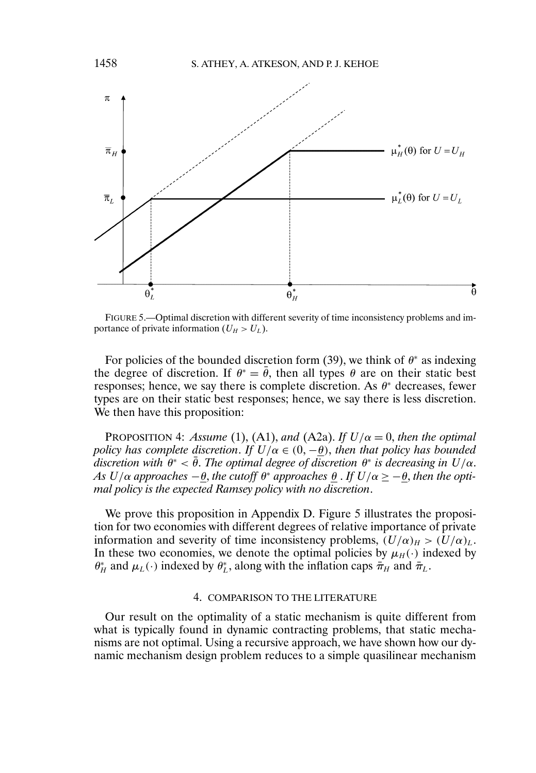

FIGURE 5.—Optimal discretion with different severity of time inconsistency problems and importance of private information  $(U_H > U_L)$ .

For policies of the bounded discretion form (39), we think of  $\theta^*$  as indexing the degree of discretion. If  $\theta^* = \bar{\theta}$ , then all types  $\theta$  are on their static best responses; hence, we say there is complete discretion. As  $\theta^*$  decreases, fewer types are on their static best responses; hence, we say there is less discretion. We then have this proposition:

PROPOSITION 4: *Assume* (1), (A1), and (A2a). If  $U/\alpha = 0$ , then the optimal *policy has complete discretion. If*  $U/\alpha \in (0, -\theta)$ , *then that policy has bounded*  $\hat{a}$ *discretion with*  $\hat{\theta}^* < \overline{\theta}$ . *The optimal degree of discretion*  $\theta^*$  *is decreasing in*  $U/\alpha$ . *As*  $U/\alpha$  *approaches*  $-\theta$ *, the cutoff*  $θ^*$  *approaches*  $θ$  *. If*  $U/\alpha ≥ -θ$ *, then the optimal policy is the expected Ramsey policy with no discretion*.

We prove this proposition in Appendix D. Figure 5 illustrates the proposition for two economies with different degrees of relative importance of private information and severity of time inconsistency problems,  $(U/\alpha)_H > (U/\alpha)_L$ . In these two economies, we denote the optimal policies by  $\mu_H(\cdot)$  indexed by  $\theta_H^*$  and  $\mu_L(\cdot)$  indexed by  $\theta_L^*$ , along with the inflation caps  $\bar{\pi}_H$  and  $\bar{\pi}_L$ .

### 4. COMPARISON TO THE LITERATURE

Our result on the optimality of a static mechanism is quite different from what is typically found in dynamic contracting problems, that static mechanisms are not optimal. Using a recursive approach, we have shown how our dynamic mechanism design problem reduces to a simple quasilinear mechanism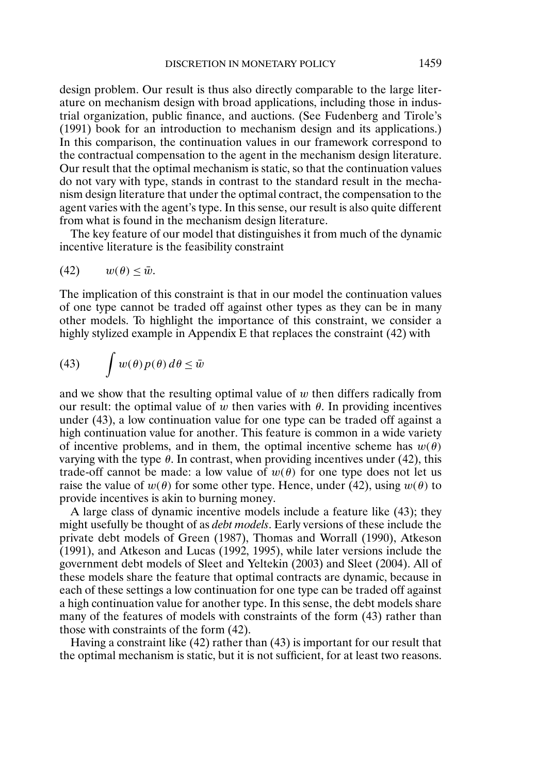design problem. Our result is thus also directly comparable to the large literature on mechanism design with broad applications, including those in industrial organization, public finance, and auctions. (See Fudenberg and Tirole's (1991) book for an introduction to mechanism design and its applications.) In this comparison, the continuation values in our framework correspond to the contractual compensation to the agent in the mechanism design literature. Our result that the optimal mechanism is static, so that the continuation values do not vary with type, stands in contrast to the standard result in the mechanism design literature that under the optimal contract, the compensation to the agent varies with the agent's type. In this sense, our result is also quite different from what is found in the mechanism design literature.

The key feature of our model that distinguishes it from much of the dynamic incentive literature is the feasibility constraint

$$
(42) \t w(\theta) \leq \bar{w}.
$$

The implication of this constraint is that in our model the continuation values of one type cannot be traded off against other types as they can be in many other models. To highlight the importance of this constraint, we consider a highly stylized example in Appendix E that replaces the constraint (42) with

(43) 
$$
\int w(\theta) p(\theta) d\theta \leq \bar{w}
$$

and we show that the resulting optimal value of  $w$  then differs radically from our result: the optimal value of w then varies with  $\theta$ . In providing incentives under (43), a low continuation value for one type can be traded off against a high continuation value for another. This feature is common in a wide variety of incentive problems, and in them, the optimal incentive scheme has  $w(\theta)$ varying with the type  $\theta$ . In contrast, when providing incentives under (42), this trade-off cannot be made: a low value of  $w(\theta)$  for one type does not let us raise the value of  $w(\theta)$  for some other type. Hence, under (42), using  $w(\theta)$  to provide incentives is akin to burning money.

A large class of dynamic incentive models include a feature like (43); they might usefully be thought of as *debt models*. Early versions of these include the private debt models of Green (1987), Thomas and Worrall (1990), Atkeson (1991), and Atkeson and Lucas (1992, 1995), while later versions include the government debt models of Sleet and Yeltekin (2003) and Sleet (2004). All of these models share the feature that optimal contracts are dynamic, because in each of these settings a low continuation for one type can be traded off against a high continuation value for another type. In this sense, the debt models share many of the features of models with constraints of the form (43) rather than those with constraints of the form (42).

Having a constraint like (42) rather than (43) is important for our result that the optimal mechanism is static, but it is not sufficient, for at least two reasons.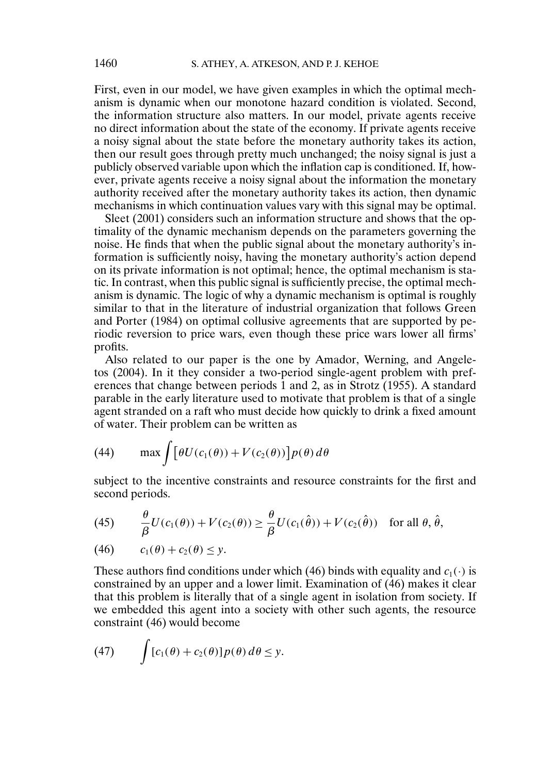First, even in our model, we have given examples in which the optimal mechanism is dynamic when our monotone hazard condition is violated. Second, the information structure also matters. In our model, private agents receive no direct information about the state of the economy. If private agents receive a noisy signal about the state before the monetary authority takes its action, then our result goes through pretty much unchanged; the noisy signal is just a publicly observed variable upon which the inflation cap is conditioned. If, however, private agents receive a noisy signal about the information the monetary authority received after the monetary authority takes its action, then dynamic mechanisms in which continuation values vary with this signal may be optimal.

Sleet (2001) considers such an information structure and shows that the optimality of the dynamic mechanism depends on the parameters governing the noise. He finds that when the public signal about the monetary authority's information is sufficiently noisy, having the monetary authority's action depend on its private information is not optimal; hence, the optimal mechanism is static. In contrast, when this public signal is sufficiently precise, the optimal mechanism is dynamic. The logic of why a dynamic mechanism is optimal is roughly similar to that in the literature of industrial organization that follows Green and Porter (1984) on optimal collusive agreements that are supported by periodic reversion to price wars, even though these price wars lower all firms' profits.

Also related to our paper is the one by Amador, Werning, and Angeletos (2004). In it they consider a two-period single-agent problem with preferences that change between periods 1 and 2, as in Strotz (1955). A standard parable in the early literature used to motivate that problem is that of a single agent stranded on a raft who must decide how quickly to drink a fixed amount of water. Their problem can be written as

(44) 
$$
\max \int [\theta U(c_1(\theta)) + V(c_2(\theta))] p(\theta) d\theta
$$

subject to the incentive constraints and resource constraints for the first and second periods.

(45) 
$$
\frac{\theta}{\beta}U(c_1(\theta)) + V(c_2(\theta)) \ge \frac{\theta}{\beta}U(c_1(\hat{\theta})) + V(c_2(\hat{\theta})) \text{ for all } \theta, \hat{\theta},
$$

$$
(46) \qquad c_1(\theta) + c_2(\theta) \leq y.
$$

These authors find conditions under which (46) binds with equality and  $c_1(\cdot)$  is constrained by an upper and a lower limit. Examination of (46) makes it clear that this problem is literally that of a single agent in isolation from society. If we embedded this agent into a society with other such agents, the resource constraint (46) would become

(47) 
$$
\int [c_1(\theta)+c_2(\theta)]p(\theta) d\theta \leq y.
$$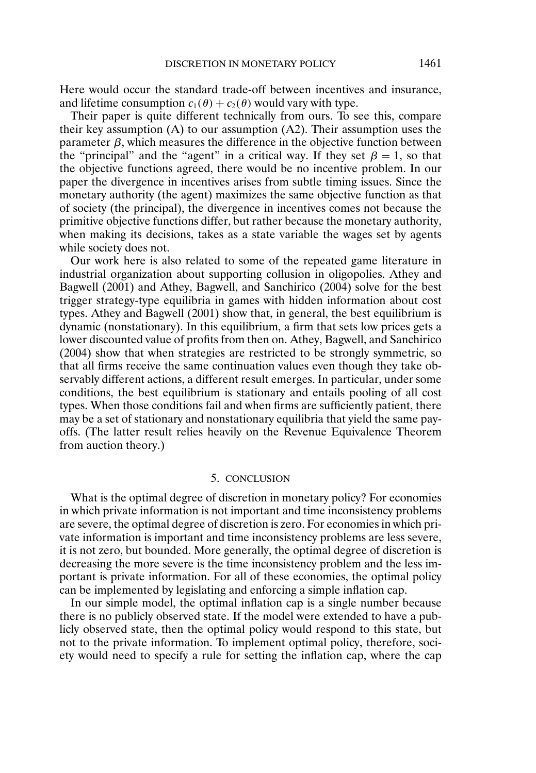Here would occur the standard trade-off between incentives and insurance, and lifetime consumption  $c_1(\theta) + c_2(\theta)$  would vary with type.

Their paper is quite different technically from ours. To see this, compare their key assumption (A) to our assumption (A2). Their assumption uses the parameter β, which measures the difference in the objective function between the "principal" and the "agent" in a critical way. If they set  $\beta = 1$ , so that the objective functions agreed, there would be no incentive problem. In our paper the divergence in incentives arises from subtle timing issues. Since the monetary authority (the agent) maximizes the same objective function as that of society (the principal), the divergence in incentives comes not because the primitive objective functions differ, but rather because the monetary authority, when making its decisions, takes as a state variable the wages set by agents while society does not.

Our work here is also related to some of the repeated game literature in industrial organization about supporting collusion in oligopolies. Athey and Bagwell (2001) and Athey, Bagwell, and Sanchirico (2004) solve for the best trigger strategy-type equilibria in games with hidden information about cost types. Athey and Bagwell (2001) show that, in general, the best equilibrium is dynamic (nonstationary). In this equilibrium, a firm that sets low prices gets a lower discounted value of profits from then on. Athey, Bagwell, and Sanchirico (2004) show that when strategies are restricted to be strongly symmetric, so that all firms receive the same continuation values even though they take observably different actions, a different result emerges. In particular, under some conditions, the best equilibrium is stationary and entails pooling of all cost types. When those conditions fail and when firms are sufficiently patient, there may be a set of stationary and nonstationary equilibria that yield the same payoffs. (The latter result relies heavily on the Revenue Equivalence Theorem from auction theory.)

#### 5. CONCLUSION

What is the optimal degree of discretion in monetary policy? For economies in which private information is not important and time inconsistency problems are severe, the optimal degree of discretion is zero. For economies in which private information is important and time inconsistency problems are less severe, it is not zero, but bounded. More generally, the optimal degree of discretion is decreasing the more severe is the time inconsistency problem and the less important is private information. For all of these economies, the optimal policy can be implemented by legislating and enforcing a simple inflation cap.

In our simple model, the optimal inflation cap is a single number because there is no publicly observed state. If the model were extended to have a publicly observed state, then the optimal policy would respond to this state, but not to the private information. To implement optimal policy, therefore, society would need to specify a rule for setting the inflation cap, where the cap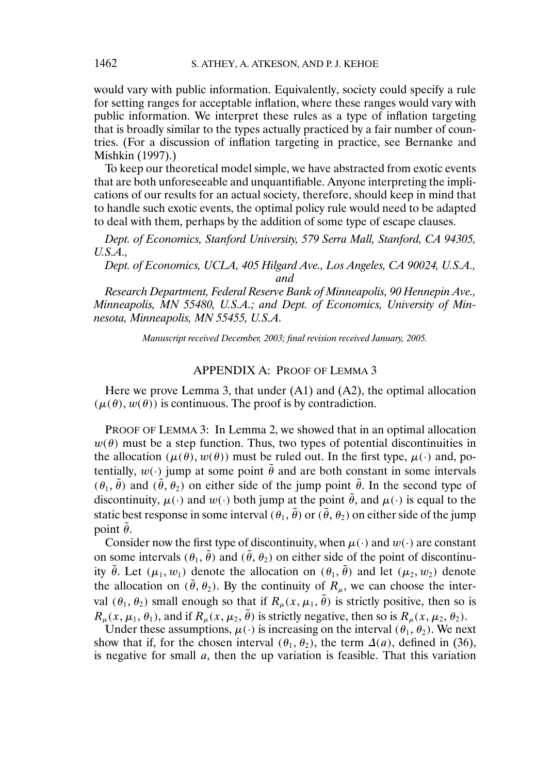would vary with public information. Equivalently, society could specify a rule for setting ranges for acceptable inflation, where these ranges would vary with public information. We interpret these rules as a type of inflation targeting that is broadly similar to the types actually practiced by a fair number of countries. (For a discussion of inflation targeting in practice, see Bernanke and Mishkin (1997).)

To keep our theoretical model simple, we have abstracted from exotic events that are both unforeseeable and unquantifiable. Anyone interpreting the implications of our results for an actual society, therefore, should keep in mind that to handle such exotic events, the optimal policy rule would need to be adapted to deal with them, perhaps by the addition of some type of escape clauses.

*Dept. of Economics, Stanford University, 579 Serra Mall, Stanford, CA 94305, U.S.A.,*

*Dept. of Economics, UCLA, 405 Hilgard Ave., Los Angeles, CA 90024, U.S.A., and*

*Research Department, Federal Reserve Bank of Minneapolis, 90 Hennepin Ave., Minneapolis, MN 55480, U.S.A.; and Dept. of Economics, University of Minnesota, Minneapolis, MN 55455, U.S.A.*

*Manuscript received December, 2003; final revision received January, 2005.*

## APPENDIX A: PROOF OF LEMMA 3

Here we prove Lemma 3, that under (A1) and (A2), the optimal allocation  $(\mu(\theta), w(\theta))$  is continuous. The proof is by contradiction.

PROOF OF LEMMA 3: In Lemma 2, we showed that in an optimal allocation  $w(\theta)$  must be a step function. Thus, two types of potential discontinuities in the allocation ( $\mu(\theta)$ ,  $w(\theta)$ ) must be ruled out. In the first type,  $\mu(\cdot)$  and, potentially,  $w(\cdot)$  jump at some point  $\tilde{\theta}$  and are both constant in some intervals  $(\theta_1, \tilde{\theta})$  and  $(\tilde{\theta}, \theta_2)$  on either side of the jump point  $\tilde{\theta}$ . In the second type of discontinuity,  $\mu(\cdot)$  and  $w(\cdot)$  both jump at the point  $\tilde{\theta}$ , and  $\mu(\cdot)$  is equal to the static best response in some interval  $(\theta_1, \tilde{\theta})$  or  $(\tilde{\theta}, \theta_2)$  on either side of the jump point  $\tilde{\theta}$ .

Consider now the first type of discontinuity, when  $\mu(\cdot)$  and  $w(\cdot)$  are constant on some intervals  $(\theta_1, \tilde{\theta})$  and  $(\tilde{\theta}, \theta_2)$  on either side of the point of discontinuity  $\tilde{\theta}$ . Let  $(\mu_1, w_1)$  denote the allocation on  $(\theta_1, \tilde{\theta})$  and let  $(\mu_2, w_2)$  denote the allocation on  $(\tilde{\theta}, \theta_2)$ . By the continuity of  $R_u$ , we can choose the interval  $(\theta_1, \theta_2)$  small enough so that if  $R_\mu(x, \mu_1, \tilde{\theta})$  is strictly positive, then so is  $R_u(x, \mu_1, \theta_1)$ , and if  $R_u(x, \mu_2, \tilde{\theta})$  is strictly negative, then so is  $R_u(x, \mu_2, \theta_2)$ .

Under these assumptions,  $\mu(\cdot)$  is increasing on the interval  $(\theta_1, \theta_2)$ . We next show that if, for the chosen interval  $(\theta_1, \theta_2)$ , the term  $\Delta(a)$ , defined in (36), is negative for small  $a$ , then the up variation is feasible. That this variation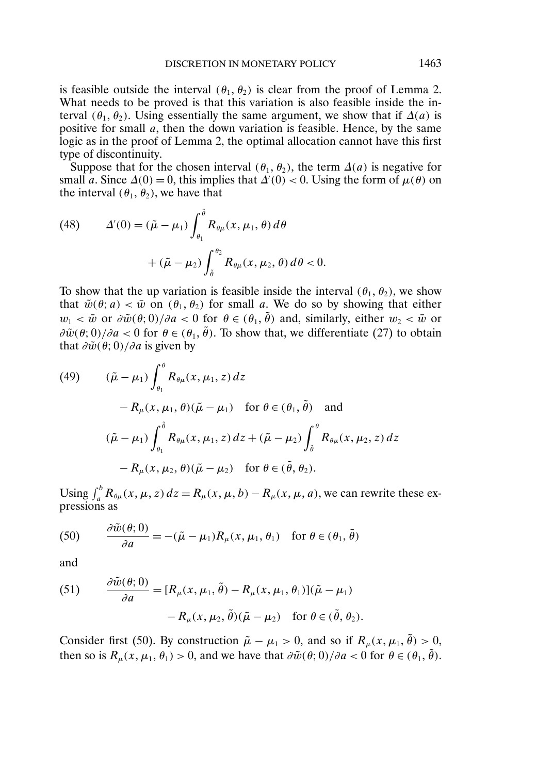is feasible outside the interval  $(\theta_1, \theta_2)$  is clear from the proof of Lemma 2. What needs to be proved is that this variation is also feasible inside the interval ( $\theta_1, \theta_2$ ). Using essentially the same argument, we show that if  $\Delta(a)$  is positive for small a, then the down variation is feasible. Hence, by the same logic as in the proof of Lemma 2, the optimal allocation cannot have this first type of discontinuity.

Suppose that for the chosen interval  $(\theta_1, \theta_2)$ , the term  $\Delta(a)$  is negative for small *a*. Since  $\Delta(0) = 0$ , this implies that  $\Delta'(0) < 0$ . Using the form of  $\mu(\theta)$  on the interval  $(\theta_1, \theta_2)$ , we have that

(48) 
$$
\Delta'(0) = (\tilde{\mu} - \mu_1) \int_{\theta_1}^{\tilde{\theta}} R_{\theta\mu}(x, \mu_1, \theta) d\theta + (\tilde{\mu} - \mu_2) \int_{\tilde{\theta}}^{\theta_2} R_{\theta\mu}(x, \mu_2, \theta) d\theta < 0.
$$

To show that the up variation is feasible inside the interval  $(\theta_1, \theta_2)$ , we show that  $\tilde{w}(\theta; a) < \bar{w}$  on  $(\theta_1, \theta_2)$  for small a. We do so by showing that either  $w_1 < \bar{w}$  or  $\partial \tilde{w}(\theta; 0)/\partial a < 0$  for  $\theta \in (\theta_1, \tilde{\theta})$  and, similarly, either  $w_2 < \bar{w}$  or  $\partial \tilde{w}(\theta;0)/\partial a < 0$  for  $\theta \in (\theta_1, \tilde{\theta})$ . To show that, we differentiate (27) to obtain that  $\frac{\partial \tilde{w}(\theta; 0)}{\partial a}$  is given by

(49) 
$$
(\tilde{\mu} - \mu_1) \int_{\theta_1}^{\theta} R_{\theta\mu}(x, \mu_1, z) dz
$$
  
\t
$$
-R_{\mu}(x, \mu_1, \theta)(\tilde{\mu} - \mu_1) \text{ for } \theta \in (\theta_1, \tilde{\theta}) \text{ and}
$$
  
\t
$$
(\tilde{\mu} - \mu_1) \int_{\theta_1}^{\tilde{\theta}} R_{\theta\mu}(x, \mu_1, z) dz + (\tilde{\mu} - \mu_2) \int_{\tilde{\theta}}^{\theta} R_{\theta\mu}(x, \mu_2, z) dz
$$
  
\t
$$
-R_{\mu}(x, \mu_2, \theta)(\tilde{\mu} - \mu_2) \text{ for } \theta \in (\tilde{\theta}, \theta_2).
$$

Using  $\int_a^b R_{\theta\mu}(x,\mu,z) dz = R_\mu(x,\mu,b) - R_\mu(x,\mu,a)$ , we can rewrite these expressions as

(50) 
$$
\frac{\partial \tilde{w}(\theta;0)}{\partial a} = -(\tilde{\mu} - \mu_1) R_{\mu}(x, \mu_1, \theta_1) \text{ for } \theta \in (\theta_1, \tilde{\theta})
$$

and

(51) 
$$
\frac{\partial \tilde{w}(\theta;0)}{\partial a} = [R_{\mu}(x,\mu_1,\tilde{\theta}) - R_{\mu}(x,\mu_1,\theta_1)](\tilde{\mu} - \mu_1) - R_{\mu}(x,\mu_2,\tilde{\theta})(\tilde{\mu} - \mu_2) \text{ for } \theta \in (\tilde{\theta},\theta_2).
$$

Consider first (50). By construction  $\tilde{\mu} - \mu_1 > 0$ , and so if  $R_{\mu}(x, \mu_1, \tilde{\theta}) > 0$ , then so is  $R_{\mu}(x, \mu_1, \theta_1) > 0$ , and we have that  $\frac{\partial \tilde{w}(\theta; 0)}{\partial a} < 0$  for  $\theta \in (\theta_1, \tilde{\theta})$ .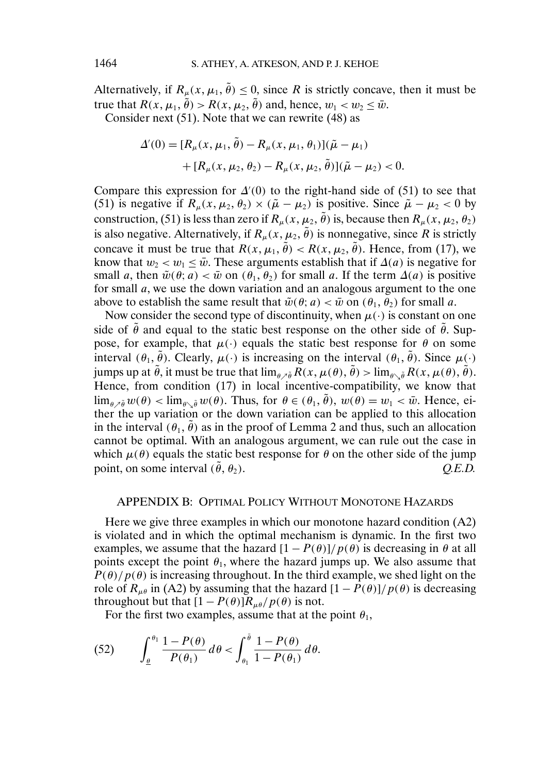Alternatively, if  $R_{\mu}(x, \mu_1, \tilde{\theta}) \leq 0$ , since R is strictly concave, then it must be true that  $R(x, \mu_1, \tilde{\theta}) > R(x, \mu_2, \tilde{\theta})$  and, hence,  $w_1 < w_2 \leq \bar{w}$ .

Consider next (51). Note that we can rewrite (48) as

$$
\Delta'(0) = [R_{\mu}(x, \mu_1, \tilde{\theta}) - R_{\mu}(x, \mu_1, \theta_1)](\tilde{\mu} - \mu_1) + [R_{\mu}(x, \mu_2, \theta_2) - R_{\mu}(x, \mu_2, \tilde{\theta})](\tilde{\mu} - \mu_2) < 0.
$$

Compare this expression for  $\Delta'(0)$  to the right-hand side of (51) to see that (51) is negative if  $R_{\mu}(x, \mu_2, \theta_2) \times (\tilde{\mu} - \mu_2)$  is positive. Since  $\tilde{\mu} - \mu_2 < 0$  by construction, (51) is less than zero if  $R_{\mu}(x, \mu_2, \tilde{\theta})$  is, because then  $R_{\mu}(x, \mu_2, \theta_2)$ is also negative. Alternatively, if  $R_u(x, \mu_2, \tilde{\theta})$  is nonnegative, since R is strictly concave it must be true that  $R(x, \mu_1, \tilde{\theta}) < R(x, \mu_2, \tilde{\theta})$ . Hence, from (17), we know that  $w_2 < w_1 \leq \bar{w}$ . These arguments establish that if  $\Delta(a)$  is negative for small a, then  $\tilde{w}(\theta; a) < \bar{w}$  on  $(\theta_1, \theta_2)$  for small a. If the term  $\Delta(a)$  is positive for small a, we use the down variation and an analogous argument to the one above to establish the same result that  $\tilde{w}(\theta; a) < \bar{w}$  on  $(\theta_1, \theta_2)$  for small a.

Now consider the second type of discontinuity, when  $\mu(\cdot)$  is constant on one side of  $\hat{\theta}$  and equal to the static best response on the other side of  $\hat{\theta}$ . Suppose, for example, that  $\mu(\cdot)$  equals the static best response for  $\theta$  on some interval  $(\theta_1, \tilde{\theta})$ . Clearly,  $\mu(\cdot)$  is increasing on the interval  $(\theta_1, \tilde{\theta})$ . Since  $\mu(\cdot)$ jumps up at  $\tilde{\theta}$ , it must be true that  $\lim_{\theta \to \tilde{\theta}} R(x, \mu(\theta), \tilde{\theta}) > \lim_{\theta \to \tilde{\theta}} R(x, \mu(\theta), \tilde{\theta})$ . Hence, from condition (17) in local incentive-compatibility, we know that  $\lim_{\theta \nearrow \tilde{\theta}} w(\theta) < \lim_{\theta \searrow \tilde{\theta}} w(\theta)$ . Thus, for  $\theta \in (\theta_1, \tilde{\theta}), w(\theta) = w_1 < \tilde{w}$ . Hence, either the up variation or the down variation can be applied to this allocation in the interval  $(\theta_1, \tilde{\theta})$  as in the proof of Lemma 2 and thus, such an allocation cannot be optimal. With an analogous argument, we can rule out the case in which  $\mu(\theta)$  equals the static best response for  $\theta$  on the other side of the jump point, on some interval  $(\tilde{\theta}, \theta_2)$ .  $Q.E.D.$ 

### APPENDIX B: OPTIMAL POLICY WITHOUT MONOTONE HAZARDS

Here we give three examples in which our monotone hazard condition (A2) is violated and in which the optimal mechanism is dynamic. In the first two examples, we assume that the hazard  $[1 - P(\theta)]/p(\theta)$  is decreasing in  $\theta$  at all points except the point  $\theta_1$ , where the hazard jumps up. We also assume that  $P(\theta)/p(\theta)$  is increasing throughout. In the third example, we shed light on the role of  $R_{\mu\theta}$  in (A2) by assuming that the hazard  $[1 - P(\theta)]/p(\theta)$  is decreasing throughout but that  $[1 - P(\theta)]R_{\mu\theta}/p(\theta)$  is not.

For the first two examples, assume that at the point  $\theta_1$ ,

$$
(52) \qquad \int_{\underline{\theta}}^{\theta_1} \frac{1 - P(\theta)}{P(\theta_1)} \, d\theta < \int_{\theta_1}^{\overline{\theta}} \frac{1 - P(\theta)}{1 - P(\theta_1)} \, d\theta.
$$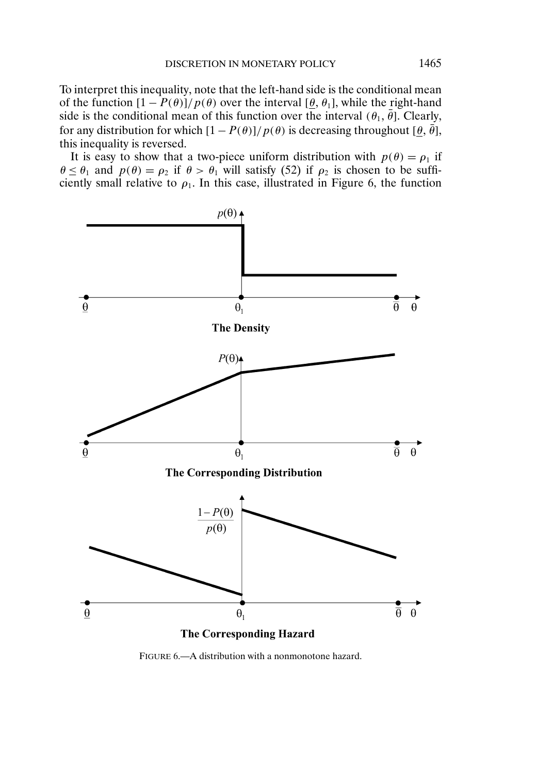To interpret this inequality, note that the left-hand side is the conditional mean of the function  $[1 - P(\theta)]/p(\theta)$  over the interval  $[\theta, \theta_1]$ , while the right-hand side is the conditional mean of this function over the interval  $(\theta_1, \bar{\theta})$ . Clearly, for any distribution for which  $[1 - P(\theta)]/p(\theta)$  is decreasing throughout  $[\theta, \bar{\theta}]$ , this inequality is reversed.

It is easy to show that a two-piece uniform distribution with  $p(\theta) = \rho_1$  if  $\theta \le \theta_1$  and  $p(\theta) = \rho_2$  if  $\theta > \theta_1$  will satisfy (52) if  $\rho_2$  is chosen to be sufficiently small relative to  $\rho_1$ . In this case, illustrated in Figure 6, the function



FIGURE 6.—A distribution with a nonmonotone hazard.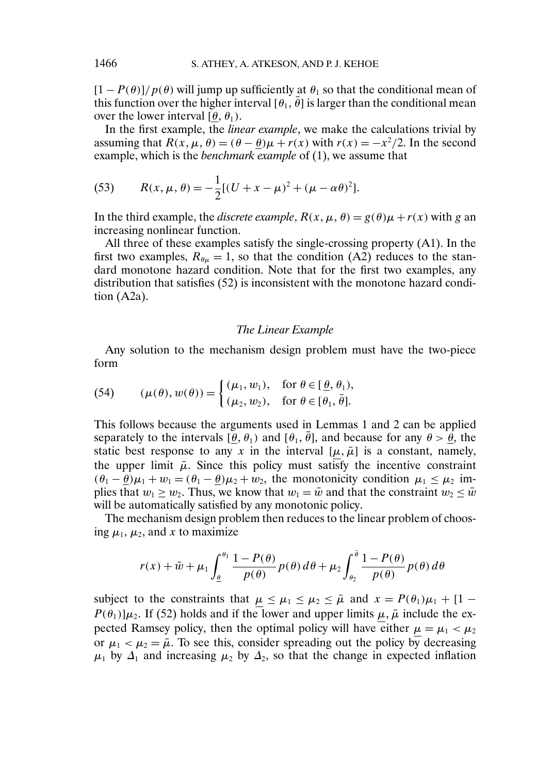$[1 - P(\theta)]/p(\theta)$  will jump up sufficiently at  $\theta_1$  so that the conditional mean of this function over the higher interval [ $\theta_1$ ,  $\bar{\theta}$ ] is larger than the conditional mean over the lower interval [ $\theta$ ,  $\theta$ <sub>1</sub>).

In the first example, the *linear example*, we make the calculations trivial by assuming that  $R(x, \mu, \theta) = (\theta - \theta)\mu + r(x)$  with  $r(x) = -\frac{x^2}{2}$ . In the second example, which is the *benchmark example* of (1), we assume that

(53) 
$$
R(x, \mu, \theta) = -\frac{1}{2}[(U + x - \mu)^2 + (\mu - \alpha \theta)^2].
$$

In the third example, the *discrete example*,  $R(x, \mu, \theta) = g(\theta)\mu + r(x)$  with g an increasing nonlinear function.

All three of these examples satisfy the single-crossing property (A1). In the first two examples,  $R_{\theta u} = 1$ , so that the condition (A2) reduces to the standard monotone hazard condition. Note that for the first two examples, any distribution that satisfies (52) is inconsistent with the monotone hazard condition (A2a).

### *The Linear Example*

Any solution to the mechanism design problem must have the two-piece form

(54) 
$$
(\mu(\theta), w(\theta)) = \begin{cases} (\mu_1, w_1), & \text{for } \theta \in [\underline{\theta}, \theta_1), \\ (\mu_2, w_2), & \text{for } \theta \in [\theta_1, \overline{\theta}]. \end{cases}
$$

This follows because the arguments used in Lemmas 1 and 2 can be applied separately to the intervals  $[\theta, \theta_1)$  and  $[\theta_1, \bar{\theta}]$ , and because for any  $\theta > \theta$ , the static best response to any x in the interval  $[\mu, \bar{\mu}]$  is a constant, namely, the upper limit  $\bar{\mu}$ . Since this policy must satisfy the incentive constraint  $(\theta_1 - \underline{\theta})\mu_1 + w_1 = (\theta_1 - \underline{\theta})\mu_2 + w_2$ , the monotonicity condition  $\mu_1 \le \mu_2$  implies that  $w_1 \geq w_2$ . Thus, we know that  $w_1 = \bar{w}$  and that the constraint  $w_2 \leq \bar{w}$ will be automatically satisfied by any monotonic policy.

The mechanism design problem then reduces to the linear problem of choosing  $\mu_1$ ,  $\mu_2$ , and x to maximize

$$
r(x) + \bar{w} + \mu_1 \int_{\theta}^{\theta_1} \frac{1 - P(\theta)}{p(\theta)} p(\theta) d\theta + \mu_2 \int_{\theta_2}^{\bar{\theta}} \frac{1 - P(\theta)}{p(\theta)} p(\theta) d\theta
$$

subject to the constraints that  $\mu \leq \mu_1 \leq \mu_2 \leq \bar{\mu}$  and  $x = P(\theta_1)\mu_1 + [1 P(\theta_1)\mu_2$ . If (52) holds and if the lower and upper limits  $\mu$ ,  $\bar{\mu}$  include the expected Ramsey policy, then the optimal policy will have either  $\mu = \mu_1 < \mu_2$ or  $\mu_1 < \mu_2 = \bar{\mu}$ . To see this, consider spreading out the policy by decreasing  $\mu_1$  by  $\Delta_1$  and increasing  $\mu_2$  by  $\Delta_2$ , so that the change in expected inflation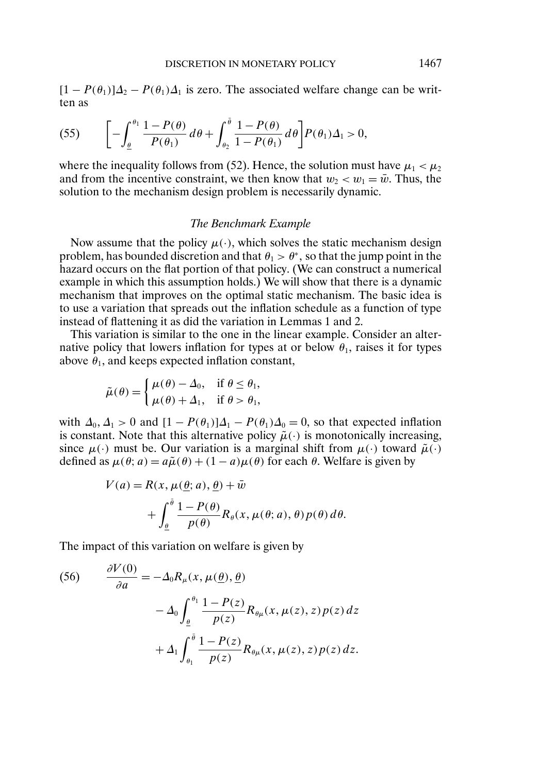$[1 - P(\theta_1)]\Delta_2 - P(\theta_1)\Delta_1$  is zero. The associated welfare change can be written as

(55) 
$$
\left[-\int_{\underline{\theta}}^{\theta_1} \frac{1-P(\theta)}{P(\theta_1)} d\theta + \int_{\theta_2}^{\overline{\theta}} \frac{1-P(\theta)}{1-P(\theta_1)} d\theta\right] P(\theta_1) \Delta_1 > 0,
$$

where the inequality follows from (52). Hence, the solution must have  $\mu_1 < \mu_2$ and from the incentive constraint, we then know that  $w_2 < w_1 = \bar{w}$ . Thus, the solution to the mechanism design problem is necessarily dynamic.

### *The Benchmark Example*

Now assume that the policy  $\mu(\cdot)$ , which solves the static mechanism design problem, has bounded discretion and that  $\theta_1 > \theta^*$ , so that the jump point in the hazard occurs on the flat portion of that policy. (We can construct a numerical example in which this assumption holds.) We will show that there is a dynamic mechanism that improves on the optimal static mechanism. The basic idea is to use a variation that spreads out the inflation schedule as a function of type instead of flattening it as did the variation in Lemmas 1 and 2.

This variation is similar to the one in the linear example. Consider an alternative policy that lowers inflation for types at or below  $\theta_1$ , raises it for types above  $\theta_1$ , and keeps expected inflation constant,

$$
\tilde{\mu}(\theta) = \begin{cases} \mu(\theta) - \Delta_0, & \text{if } \theta \le \theta_1, \\ \mu(\theta) + \Delta_1, & \text{if } \theta > \theta_1, \end{cases}
$$

with  $\Delta_0$ ,  $\Delta_1 > 0$  and  $[1 - P(\theta_1)]\Delta_1 - P(\theta_1)\Delta_0 = 0$ , so that expected inflation is constant. Note that this alternative policy  $\tilde{\mu}(\cdot)$  is monotonically increasing, since  $\mu(\cdot)$  must be. Our variation is a marginal shift from  $\mu(\cdot)$  toward  $\tilde{\mu}(\cdot)$ defined as  $\mu(\theta; a) = a\tilde{\mu}(\theta) + (1 - a)\mu(\theta)$  for each  $\theta$ . Welfare is given by

$$
V(a) = R(x, \mu(\underline{\theta}; a), \underline{\theta}) + \bar{w}
$$
  
+ 
$$
\int_{\underline{\theta}}^{\overline{\theta}} \frac{1 - P(\theta)}{p(\theta)} R_{\theta}(x, \mu(\theta; a), \theta) p(\theta) d\theta.
$$

The impact of this variation on welfare is given by

(56) 
$$
\frac{\partial V(0)}{\partial a} = -\Delta_0 R_\mu(x, \mu(\underline{\theta}), \underline{\theta})
$$

$$
-\Delta_0 \int_{\underline{\theta}}^{\theta_1} \frac{1 - P(z)}{p(z)} R_{\theta\mu}(x, \mu(z), z) p(z) dz
$$

$$
+\Delta_1 \int_{\theta_1}^{\overline{\theta}} \frac{1 - P(z)}{p(z)} R_{\theta\mu}(x, \mu(z), z) p(z) dz.
$$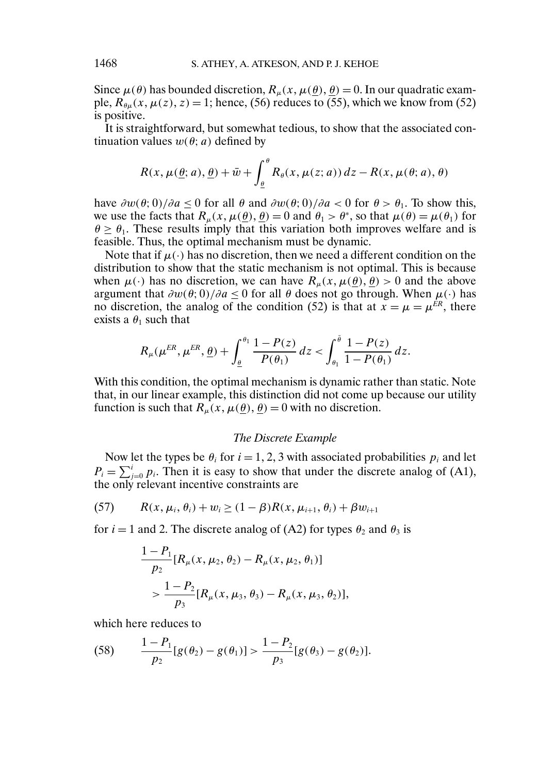Since  $\mu(\theta)$  has bounded discretion,  $R_{\mu}(x, \mu(\theta), \theta) = 0$ . In our quadratic example,  $R_{\theta\mu}(x, \mu(z), z) = 1$ ; hence, (56) reduces to (55), which we know from (52) is positive.

It is straightforward, but somewhat tedious, to show that the associated continuation values  $w(\theta; a)$  defined by

$$
R(x, \mu(\underline{\theta}; a), \underline{\theta}) + \bar{w} + \int_{\underline{\theta}}^{\theta} R_{\theta}(x, \mu(z; a)) dz - R(x, \mu(\theta; a), \theta)
$$

have  $\frac{\partial w(\theta;0)}{\partial a} \leq 0$  for all  $\theta$  and  $\frac{\partial w(\theta;0)}{\partial a} < 0$  for  $\theta > \theta_1$ . To show this, we use the facts that  $R_{\mu}(x, \mu(\theta), \theta) = 0$  and  $\theta_1 > \theta^*$ , so that  $\mu(\theta) = \mu(\theta_1)$  for  $\theta > \theta_1$ . These results imply that this variation both improves welfare and is feasible. Thus, the optimal mechanism must be dynamic.

Note that if  $\mu(\cdot)$  has no discretion, then we need a different condition on the distribution to show that the static mechanism is not optimal. This is because when  $\mu(\cdot)$  has no discretion, we can have  $R_{\mu}(x, \mu(\theta), \theta) > 0$  and the above argument that  $\partial w(\theta; 0)/\partial a \leq 0$  for all  $\theta$  does not go through. When  $\mu(\cdot)$  has no discretion, the analog of the condition (52) is that at  $x = \mu = \mu^{ER}$ , there exists a  $\theta_1$  such that

$$
R_{\mu}(\mu^{ER}, \mu^{ER}, \underline{\theta}) + \int_{\underline{\theta}}^{\theta_1} \frac{1 - P(z)}{P(\theta_1)} dz < \int_{\theta_1}^{\overline{\theta}} \frac{1 - P(z)}{1 - P(\theta_1)} dz.
$$

With this condition, the optimal mechanism is dynamic rather than static. Note that, in our linear example, this distinction did not come up because our utility function is such that  $R_u(x, \mu(\theta), \theta) = 0$  with no discretion.

## *The Discrete Example*

Now let the types be  $\theta_i$  for  $i = 1, 2, 3$  with associated probabilities  $p_i$  and let  $P_i = \sum_{j=0}^{i} p_i$ . Then it is easy to show that under the discrete analog of (A1), the only relevant incentive constraints are

(57) 
$$
R(x, \mu_i, \theta_i) + w_i \ge (1 - \beta)R(x, \mu_{i+1}, \theta_i) + \beta w_{i+1}
$$

for  $i = 1$  and 2. The discrete analog of (A2) for types  $\theta_2$  and  $\theta_3$  is

$$
\frac{1-P_1}{p_2}[R_{\mu}(x,\mu_2,\theta_2)-R_{\mu}(x,\mu_2,\theta_1)]
$$
  
> 
$$
\frac{1-P_2}{p_3}[R_{\mu}(x,\mu_3,\theta_3)-R_{\mu}(x,\mu_3,\theta_2)],
$$

which here reduces to

(58) 
$$
\frac{1-P_1}{p_2}[g(\theta_2)-g(\theta_1)]>\frac{1-P_2}{p_3}[g(\theta_3)-g(\theta_2)].
$$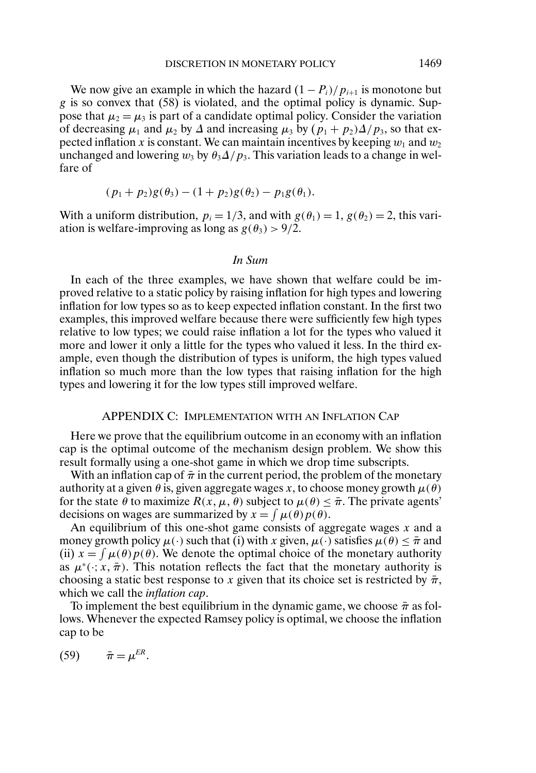We now give an example in which the hazard  $(1 - P_i)/p_{i+1}$  is monotone but g is so convex that (58) is violated, and the optimal policy is dynamic. Suppose that  $\mu_2 = \mu_3$  is part of a candidate optimal policy. Consider the variation of decreasing  $\mu_1$  and  $\mu_2$  by  $\Delta$  and increasing  $\mu_3$  by  $(p_1 + p_2)\Delta/p_3$ , so that expected inflation x is constant. We can maintain incentives by keeping  $w_1$  and  $w_2$ unchanged and lowering  $w_3$  by  $\theta_3\Delta/p_3$ . This variation leads to a change in welfare of

$$
(p_1+p_2)g(\theta_3)-(1+p_2)g(\theta_2)-p_1g(\theta_1).
$$

With a uniform distribution,  $p_i = 1/3$ , and with  $g(\theta_1) = 1$ ,  $g(\theta_2) = 2$ , this variation is welfare-improving as long as  $g(\theta_3) > 9/2$ .

### *In Sum*

In each of the three examples, we have shown that welfare could be improved relative to a static policy by raising inflation for high types and lowering inflation for low types so as to keep expected inflation constant. In the first two examples, this improved welfare because there were sufficiently few high types relative to low types; we could raise inflation a lot for the types who valued it more and lower it only a little for the types who valued it less. In the third example, even though the distribution of types is uniform, the high types valued inflation so much more than the low types that raising inflation for the high types and lowering it for the low types still improved welfare.

# APPENDIX C: IMPLEMENTATION WITH AN INFLATION CAP

Here we prove that the equilibrium outcome in an economy with an inflation cap is the optimal outcome of the mechanism design problem. We show this result formally using a one-shot game in which we drop time subscripts.

With an inflation cap of  $\bar{\pi}$  in the current period, the problem of the monetary authority at a given  $\theta$  is, given aggregate wages x, to choose money growth  $\mu(\theta)$ for the state  $\theta$  to maximize  $R(x, \mu, \theta)$  subject to  $\mu(\theta) \leq \bar{\pi}$ . The private agents' decisions on wages are summarized by  $x = \int \mu(\theta)p(\theta)$ .

An equilibrium of this one-shot game consists of aggregate wages  $x$  and a money growth policy  $\mu(\cdot)$  such that (i) with x given,  $\mu(\cdot)$  satisfies  $\mu(\theta) \leq \bar{\pi}$  and (ii)  $x = \int \mu(\theta) p(\theta)$ . We denote the optimal choice of the monetary authority as  $\mu^*(\cdot; x, \bar{\pi})$ . This notation reflects the fact that the monetary authority is choosing a static best response to x given that its choice set is restricted by  $\bar{\pi}$ , which we call the *inflation cap*.

To implement the best equilibrium in the dynamic game, we choose  $\bar{\pi}$  as follows. Whenever the expected Ramsey policy is optimal, we choose the inflation cap to be

$$
(59) \qquad \bar{\pi} = \mu^{ER}.
$$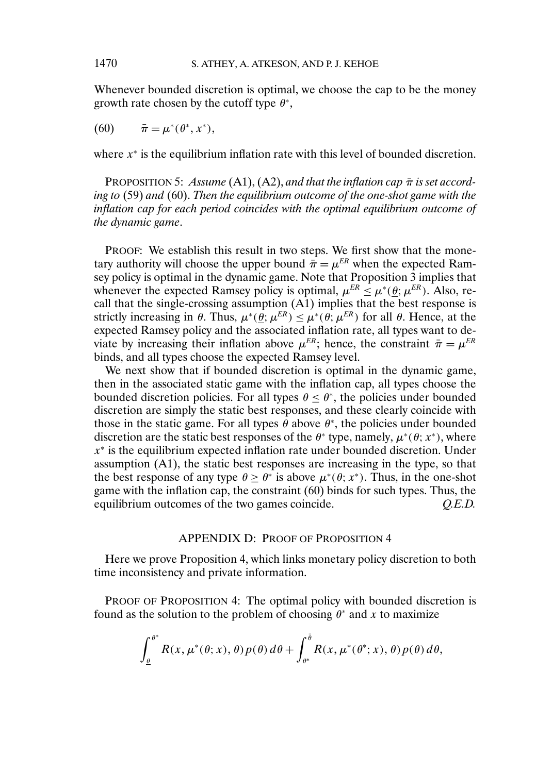Whenever bounded discretion is optimal, we choose the cap to be the money growth rate chosen by the cutoff type  $\theta^*$ ,

$$
(60) \qquad \bar{\pi} = \mu^*(\theta^*, x^*),
$$

where  $x<sup>*</sup>$  is the equilibrium inflation rate with this level of bounded discretion.

PROPOSITION 5: *Assume* (A1), (A2), *and that the inflation cap*  $\bar{\pi}$  *is set according to* (59) *and* (60). *Then the equilibrium outcome of the one-shot game with the inflation cap for each period coincides with the optimal equilibrium outcome of the dynamic game*.

PROOF: We establish this result in two steps. We first show that the monetary authority will choose the upper bound  $\bar{\pi} = \mu^{ER}$  when the expected Ramsey policy is optimal in the dynamic game. Note that Proposition 3 implies that whenever the expected Ramsey policy is optimal,  $\mu^{ER} \leq \mu^*(\theta; \mu^{ER})$ . Also, recall that the single-crossing assumption  $(A1)$  implies that the best response is strictly increasing in  $\theta$ . Thus,  $\mu^*(\hat{\theta}; \mu^{ER}) \leq \mu^*(\theta; \mu^{ER})$  for all  $\theta$ . Hence, at the expected Ramsey policy and the associated inflation rate, all types want to deviate by increasing their inflation above  $\mu^{ER}$ ; hence, the constraint  $\bar{\pi} = \mu^{ER}$ binds, and all types choose the expected Ramsey level.

We next show that if bounded discretion is optimal in the dynamic game, then in the associated static game with the inflation cap, all types choose the bounded discretion policies. For all types  $\theta \leq \theta^*$ , the policies under bounded discretion are simply the static best responses, and these clearly coincide with those in the static game. For all types  $\theta$  above  $\theta^*$ , the policies under bounded discretion are the static best responses of the  $\theta^*$  type, namely,  $\mu^*(\theta; x^*)$ , where x<sup>∗</sup> is the equilibrium expected inflation rate under bounded discretion. Under assumption (A1), the static best responses are increasing in the type, so that the best response of any type  $\theta \ge \theta^*$  is above  $\mu^*(\theta; x^*)$ . Thus, in the one-shot game with the inflation cap, the constraint (60) binds for such types. Thus, the equilibrium outcomes of the two games coincide. *Q.E.D.*

## APPENDIX D: PROOF OF PROPOSITION 4

Here we prove Proposition 4, which links monetary policy discretion to both time inconsistency and private information.

PROOF OF PROPOSITION 4: The optimal policy with bounded discretion is found as the solution to the problem of choosing  $\theta^*$  and x to maximize

$$
\int_{\underline{\theta}}^{\theta^*} R(x, \mu^*(\theta; x), \theta) p(\theta) d\theta + \int_{\theta^*}^{\overline{\theta}} R(x, \mu^*(\theta^*; x), \theta) p(\theta) d\theta,
$$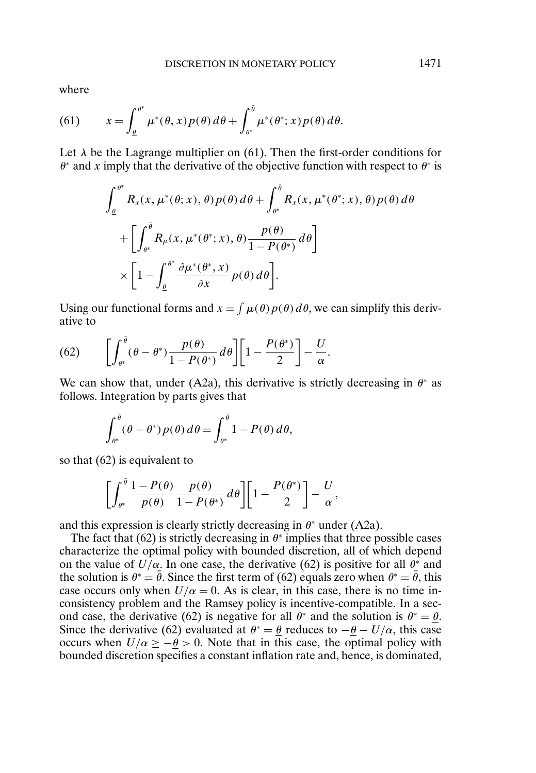where

(61) 
$$
x = \int_{\underline{\theta}}^{\theta^*} \mu^*(\theta, x) p(\theta) d\theta + \int_{\theta^*}^{\overline{\theta}} \mu^*(\theta^*; x) p(\theta) d\theta.
$$

Let  $\lambda$  be the Lagrange multiplier on (61). Then the first-order conditions for  $\theta^*$  and x imply that the derivative of the objective function with respect to  $\theta^*$  is

$$
\int_{\underline{\theta}}^{\theta^*} R_x(x, \mu^*(\theta; x), \theta) p(\theta) d\theta + \int_{\theta^*}^{\overline{\theta}} R_x(x, \mu^*(\theta^*; x), \theta) p(\theta) d\theta
$$

$$
+ \left[ \int_{\theta^*}^{\overline{\theta}} R_\mu(x, \mu^*(\theta^*; x), \theta) \frac{p(\theta)}{1 - P(\theta^*)} d\theta \right]
$$

$$
\times \left[ 1 - \int_{\underline{\theta}}^{\theta^*} \frac{\partial \mu^*(\theta^*, x)}{\partial x} p(\theta) d\theta \right].
$$

Using our functional forms and  $x = \int \mu(\theta)p(\theta) d\theta$ , we can simplify this derivative to

(62) 
$$
\left[\int_{\theta^*}^{\bar{\theta}} (\theta - \theta^*) \frac{p(\theta)}{1 - P(\theta^*)} d\theta \right] \left[1 - \frac{P(\theta^*)}{2}\right] - \frac{U}{\alpha}.
$$

We can show that, under (A2a), this derivative is strictly decreasing in  $\theta^*$  as follows. Integration by parts gives that

$$
\int_{\theta^*}^{\bar{\theta}} (\theta - \theta^*) p(\theta) d\theta = \int_{\theta^*}^{\bar{\theta}} 1 - P(\theta) d\theta,
$$

so that (62) is equivalent to

$$
\left[\int_{\theta^*}^{\bar{\theta}} \frac{1-P(\theta)}{p(\theta)} \frac{p(\theta)}{1-P(\theta^*)} d\theta\right] \left[1-\frac{P(\theta^*)}{2}\right] - \frac{U}{\alpha},
$$

and this expression is clearly strictly decreasing in  $\theta^*$  under (A2a).

The fact that (62) is strictly decreasing in  $\theta^*$  implies that three possible cases characterize the optimal policy with bounded discretion, all of which depend on the value of  $U/\alpha$ . In one case, the derivative (62) is positive for all  $\theta^*$  and the solution is  $\theta^* = \bar{\theta}$ . Since the first term of (62) equals zero when  $\theta^* = \bar{\theta}$ , this case occurs only when  $U/\alpha = 0$ . As is clear, in this case, there is no time inconsistency problem and the Ramsey policy is incentive-compatible. In a second case, the derivative (62) is negative for all  $\theta^*$  and the solution is  $\theta^* = \theta$ . Since the derivative (62) evaluated at  $\theta^* = \theta$  reduces to  $-\theta - U/\alpha$ , this case occurs when  $U/\alpha$  >  $-\theta$  > 0. Note that in this case, the optimal policy with bounded discretion specifies a constant inflation rate and, hence, is dominated,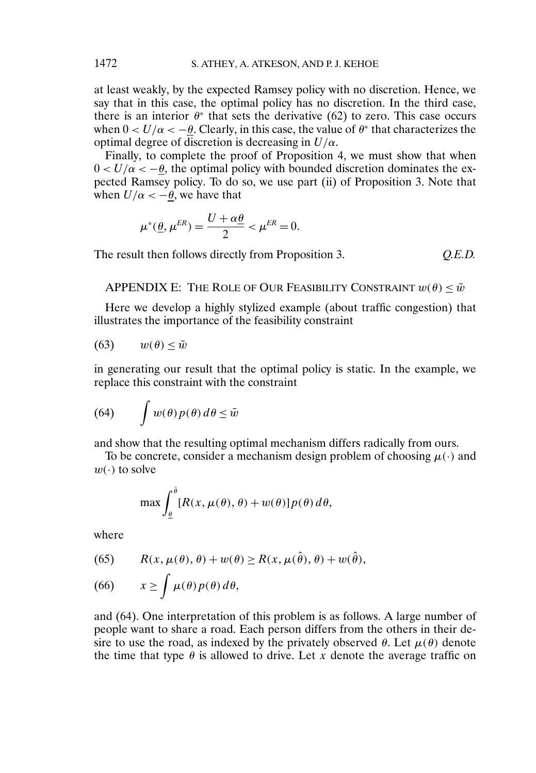at least weakly, by the expected Ramsey policy with no discretion. Hence, we say that in this case, the optimal policy has no discretion. In the third case, there is an interior  $\theta^*$  that sets the derivative (62) to zero. This case occurs when  $0 < U/\alpha < -\theta$ . Clearly, in this case, the value of  $\theta^*$  that characterizes the optimal degree of discretion is decreasing in  $U/\alpha$ .

Finally, to complete the proof of Proposition 4, we must show that when  $0 < U/\alpha < -\theta$ , the optimal policy with bounded discretion dominates the expected Ramsey policy. To do so, we use part (ii) of Proposition 3. Note that when  $U/\alpha < -\theta$ , we have that

$$
\mu^*(\underline{\theta}, \mu^{ER}) = \frac{U + \alpha \underline{\theta}}{2} < \mu^{ER} = 0.
$$

The result then follows directly from Proposition 3. *Q.E.D.*

APPENDIX E: THE ROLE OF OUR FEASIBILITY CONSTRAINT  $w(\theta) \leq \bar{w}$ 

Here we develop a highly stylized example (about traffic congestion) that illustrates the importance of the feasibility constraint

$$
(63) \qquad w(\theta) \le \bar{w}
$$

in generating our result that the optimal policy is static. In the example, we replace this constraint with the constraint

(64) 
$$
\int w(\theta) p(\theta) d\theta \leq \bar{w}
$$

and show that the resulting optimal mechanism differs radically from ours.

To be concrete, consider a mechanism design problem of choosing  $\mu(\cdot)$  and  $w(\cdot)$  to solve

$$
\max \int_{\underline{\theta}}^{\overline{\theta}} [R(x,\mu(\theta),\theta) + w(\theta)] p(\theta) d\theta,
$$

where

(65) 
$$
R(x, \mu(\theta), \theta) + w(\theta) \ge R(x, \mu(\hat{\theta}), \theta) + w(\hat{\theta}),
$$

(66) 
$$
x \ge \int \mu(\theta) p(\theta) d\theta,
$$

and (64). One interpretation of this problem is as follows. A large number of people want to share a road. Each person differs from the others in their desire to use the road, as indexed by the privately observed  $\theta$ . Let  $\mu(\theta)$  denote the time that type  $\theta$  is allowed to drive. Let x denote the average traffic on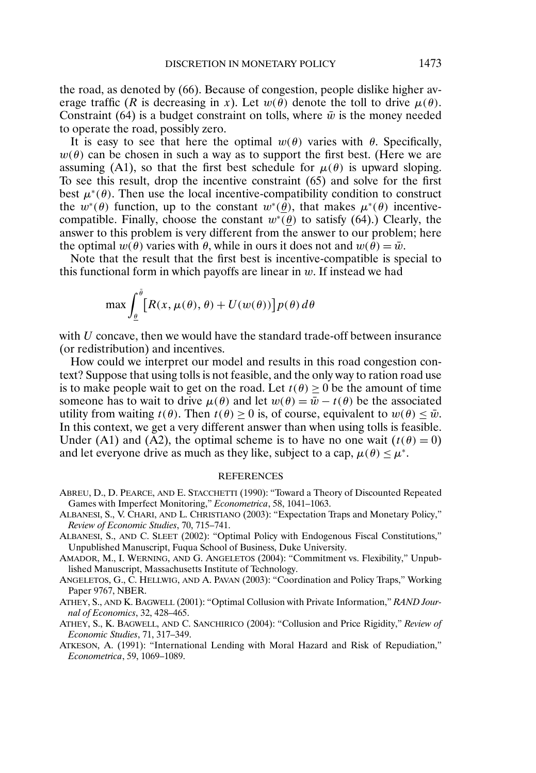the road, as denoted by (66). Because of congestion, people dislike higher average traffic (R is decreasing in x). Let  $w(\theta)$  denote the toll to drive  $\mu(\theta)$ . Constraint (64) is a budget constraint on tolls, where  $\bar{w}$  is the money needed to operate the road, possibly zero.

It is easy to see that here the optimal  $w(\theta)$  varies with  $\theta$ . Specifically,  $w(\theta)$  can be chosen in such a way as to support the first best. (Here we are assuming (A1), so that the first best schedule for  $\mu(\theta)$  is upward sloping. To see this result, drop the incentive constraint (65) and solve for the first best  $\mu^*(\theta)$ . Then use the local incentive-compatibility condition to construct the  $w^*(\theta)$  function, up to the constant  $w^*(\theta)$ , that makes  $\mu^*(\theta)$  incentivecompatible. Finally, choose the constant  $w^*(\theta)$  to satisfy (64).) Clearly, the answer to this problem is very different from the answer to our problem; here the optimal  $w(\theta)$  varies with  $\theta$ , while in ours it does not and  $w(\theta) = \bar{w}$ .

Note that the result that the first best is incentive-compatible is special to this functional form in which payoffs are linear in  $w$ . If instead we had

$$
\max \int_{\theta}^{\bar{\theta}} \big[ R(x, \mu(\theta), \theta) + U(w(\theta)) \big] p(\theta) d\theta
$$

with U concave, then we would have the standard trade-off between insurance (or redistribution) and incentives.

How could we interpret our model and results in this road congestion context? Suppose that using tolls is not feasible, and the only way to ration road use is to make people wait to get on the road. Let  $t(\theta) \ge 0$  be the amount of time someone has to wait to drive  $\mu(\theta)$  and let  $w(\theta) = \bar{w} - t(\theta)$  be the associated utility from waiting  $t(\theta)$ . Then  $t(\theta) > 0$  is, of course, equivalent to  $w(\theta) < \bar{w}$ . In this context, we get a very different answer than when using tolls is feasible. Under (A1) and (A2), the optimal scheme is to have no one wait  $(t(\theta) = 0)$ and let everyone drive as much as they like, subject to a cap,  $\mu(\theta) < \mu^*$ .

#### REFERENCES

- ABREU, D., D. PEARCE, AND E. STACCHETTI (1990): "Toward a Theory of Discounted Repeated Games with Imperfect Monitoring," *Econometrica*, 58, 1041–1063.
- ALBANESI, S., V. CHARI, AND L. CHRISTIANO (2003): "Expectation Traps and Monetary Policy," *Review of Economic Studies*, 70, 715–741.
- ALBANESI, S., AND C. SLEET (2002): "Optimal Policy with Endogenous Fiscal Constitutions," Unpublished Manuscript, Fuqua School of Business, Duke University.
- AMADOR, M., I. WERNING, AND G. ANGELETOS (2004): "Commitment vs. Flexibility," Unpublished Manuscript, Massachusetts Institute of Technology.
- ANGELETOS, G., C. HELLWIG, AND A. PAVAN (2003): "Coordination and Policy Traps," Working Paper 9767, NBER.
- ATHEY, S., AND K. BAGWELL (2001): "Optimal Collusion with Private Information," *RAND Journal of Economics*, 32, 428–465.

ATHEY, S., K. BAGWELL, AND C. SANCHIRICO (2004): "Collusion and Price Rigidity," *Review of Economic Studies*, 71, 317–349.

ATKESON, A. (1991): "International Lending with Moral Hazard and Risk of Repudiation," *Econometrica*, 59, 1069–1089.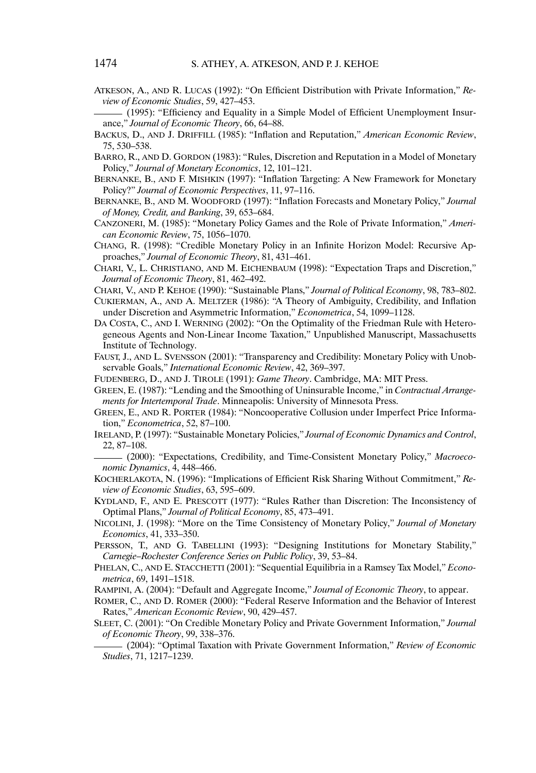ATKESON, A., AND R. LUCAS (1992): "On Efficient Distribution with Private Information," *Review of Economic Studies*, 59, 427–453.

- BACKUS, D., AND J. DRIFFILL (1985): "Inflation and Reputation," *American Economic Review*, 75, 530–538.
- BARRO, R., AND D. GORDON (1983): "Rules, Discretion and Reputation in a Model of Monetary Policy," *Journal of Monetary Economics*, 12, 101–121.
- BERNANKE, B., AND F. MISHKIN (1997): "Inflation Targeting: A New Framework for Monetary Policy?" *Journal of Economic Perspectives*, 11, 97–116.
- BERNANKE, B., AND M. WOODFORD (1997): "Inflation Forecasts and Monetary Policy," *Journal of Money, Credit, and Banking*, 39, 653–684.
- CANZONERI, M. (1985): "Monetary Policy Games and the Role of Private Information," *American Economic Review*, 75, 1056–1070.
- CHANG, R. (1998): "Credible Monetary Policy in an Infinite Horizon Model: Recursive Approaches," *Journal of Economic Theory*, 81, 431–461.
- CHARI, V., L. CHRISTIANO, AND M. EICHENBAUM (1998): "Expectation Traps and Discretion," *Journal of Economic Theory*, 81, 462–492.
- CHARI, V., AND P. KEHOE (1990): "Sustainable Plans," *Journal of Political Economy*, 98, 783–802.
- CUKIERMAN, A., AND A. MELTZER (1986): "A Theory of Ambiguity, Credibility, and Inflation under Discretion and Asymmetric Information," *Econometrica*, 54, 1099–1128.
- DA COSTA, C., AND I. WERNING (2002): "On the Optimality of the Friedman Rule with Heterogeneous Agents and Non-Linear Income Taxation," Unpublished Manuscript, Massachusetts Institute of Technology.
- FAUST, J., AND L. SVENSSON (2001): "Transparency and Credibility: Monetary Policy with Unobservable Goals," *International Economic Review*, 42, 369–397.
- FUDENBERG, D., AND J. TIROLE (1991): *Game Theory*. Cambridge, MA: MIT Press.
- GREEN, E. (1987): "Lending and the Smoothing of Uninsurable Income," in *Contractual Arrangements for Intertemporal Trade*. Minneapolis: University of Minnesota Press.
- GREEN, E., AND R. PORTER (1984): "Noncooperative Collusion under Imperfect Price Information," *Econometrica*, 52, 87–100.
- IRELAND, P. (1997): "Sustainable Monetary Policies," *Journal of Economic Dynamics and Control*, 22, 87–108.
- (2000): "Expectations, Credibility, and Time-Consistent Monetary Policy," *Macroeconomic Dynamics*, 4, 448–466.
- KOCHERLAKOTA, N. (1996): "Implications of Efficient Risk Sharing Without Commitment," *Review of Economic Studies*, 63, 595–609.
- KYDLAND, F., AND E. PRESCOTT (1977): "Rules Rather than Discretion: The Inconsistency of Optimal Plans," *Journal of Political Economy*, 85, 473–491.
- NICOLINI, J. (1998): "More on the Time Consistency of Monetary Policy," *Journal of Monetary Economics*, 41, 333–350.
- PERSSON, T., AND G. TABELLINI (1993): "Designing Institutions for Monetary Stability," *Carnegie–Rochester Conference Series on Public Policy*, 39, 53–84.
- PHELAN, C., AND E. STACCHETTI (2001): "Sequential Equilibria in a Ramsey Tax Model," *Econometrica*, 69, 1491–1518.
- RAMPINI, A. (2004): "Default and Aggregate Income," *Journal of Economic Theory*, to appear.
- ROMER, C., AND D. ROMER (2000): "Federal Reserve Information and the Behavior of Interest Rates," *American Economic Review*, 90, 429–457.
- SLEET, C. (2001): "On Credible Monetary Policy and Private Government Information," *Journal of Economic Theory*, 99, 338–376.
- (2004): "Optimal Taxation with Private Government Information," *Review of Economic Studies*, 71, 1217–1239.

<sup>(1995): &</sup>quot;Efficiency and Equality in a Simple Model of Efficient Unemployment Insurance," *Journal of Economic Theory*, 66, 64–88.